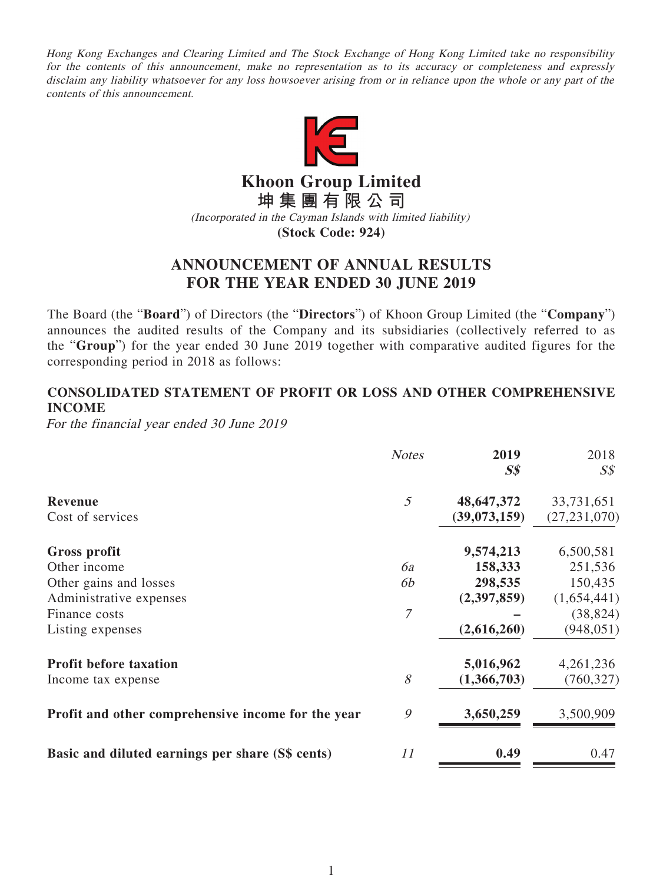Hong Kong Exchanges and Clearing Limited and The Stock Exchange of Hong Kong Limited take no responsibility for the contents of this announcement, make no representation as to its accuracy or completeness and expressly disclaim any liability whatsoever for any loss howsoever arising from or in reliance upon the whole or any part of the contents of this announcement.



**Khoon Group Limited**

**坤集團有限公司**

(Incorporated in the Cayman Islands with limited liability)

**(Stock Code: 924)**

# **ANNOUNCEMENT OF ANNUAL RESULTS FOR THE YEAR ENDED 30 JUNE 2019**

The Board (the "**Board**") of Directors (the "**Directors**") of Khoon Group Limited (the "**Company**") announces the audited results of the Company and its subsidiaries (collectively referred to as the "**Group**") for the year ended 30 June 2019 together with comparative audited figures for the corresponding period in 2018 as follows:

# **CONSOLIDATED STATEMENT OF PROFIT OR LOSS AND OTHER COMPREHENSIVE INCOME**

For the financial year ended 30 June 2019

|                                                    | <b>Notes</b> | 2019<br>S <sub>s</sub> | 2018<br>$S\mathcal{S}$ |
|----------------------------------------------------|--------------|------------------------|------------------------|
| Revenue                                            | 5            | 48,647,372             | 33,731,651             |
| Cost of services                                   |              | (39,073,159)           | (27, 231, 070)         |
| Gross profit                                       |              | 9,574,213              | 6,500,581              |
| Other income                                       | 6a           | 158,333                | 251,536                |
| Other gains and losses                             | 6b           | 298,535                | 150,435                |
| Administrative expenses                            |              | (2,397,859)            | (1,654,441)            |
| Finance costs                                      | 7            |                        | (38, 824)              |
| Listing expenses                                   |              | (2,616,260)            | (948, 051)             |
| <b>Profit before taxation</b>                      |              | 5,016,962              | 4,261,236              |
| Income tax expense                                 | $\mathcal S$ | (1,366,703)            | (760, 327)             |
| Profit and other comprehensive income for the year | 9            | 3,650,259              | 3,500,909              |
| Basic and diluted earnings per share (S\$ cents)   | 11           | 0.49                   | 0.47                   |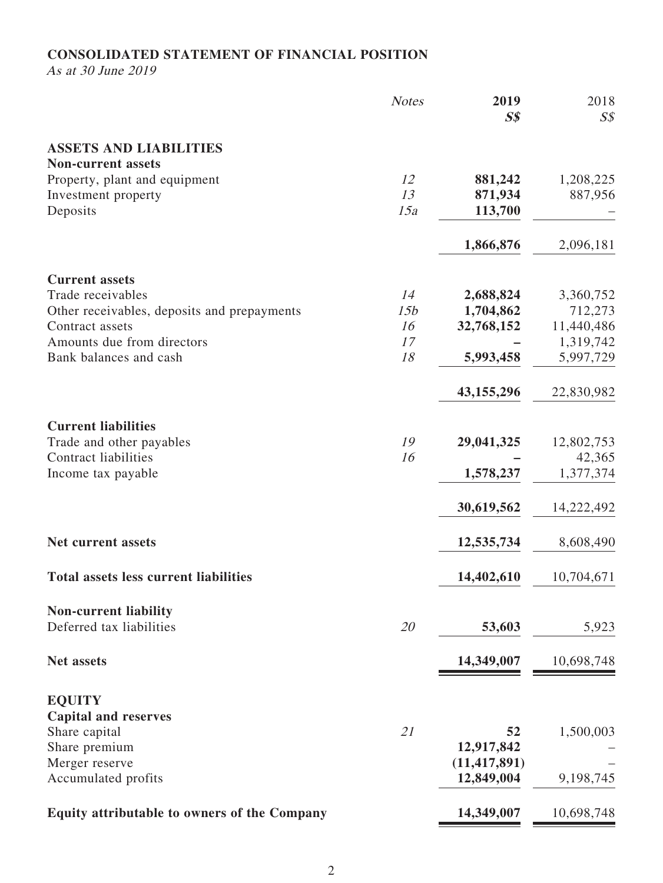## **CONSOLIDATED STATEMENT OF FINANCIAL POSITION**

As at 30 June 2019

|                                                            | <b>Notes</b> | 2019<br>S <sub>s</sub>       | 2018<br>$S\mathcal{S}$  |
|------------------------------------------------------------|--------------|------------------------------|-------------------------|
| <b>ASSETS AND LIABILITIES</b><br><b>Non-current assets</b> |              |                              |                         |
| Property, plant and equipment                              | 12           | 881,242                      | 1,208,225               |
| Investment property                                        | 13           | 871,934                      | 887,956                 |
| Deposits                                                   | 15a          | 113,700                      |                         |
|                                                            |              | 1,866,876                    | 2,096,181               |
| <b>Current assets</b>                                      |              |                              |                         |
| Trade receivables                                          | 14           | 2,688,824                    | 3,360,752               |
| Other receivables, deposits and prepayments                | 15b          | 1,704,862                    | 712,273                 |
| Contract assets<br>Amounts due from directors              | 16<br>17     | 32,768,152                   | 11,440,486<br>1,319,742 |
| Bank balances and cash                                     | 18           | 5,993,458                    | 5,997,729               |
|                                                            |              | 43,155,296                   | 22,830,982              |
| <b>Current liabilities</b>                                 |              |                              |                         |
| Trade and other payables                                   | 19           | 29,041,325                   | 12,802,753              |
| <b>Contract liabilities</b>                                | 16           |                              | 42,365                  |
| Income tax payable                                         |              | 1,578,237                    | 1,377,374               |
|                                                            |              | 30,619,562                   | 14,222,492              |
| Net current assets                                         |              | 12,535,734                   | 8,608,490               |
| <b>Total assets less current liabilities</b>               |              | 14,402,610                   | 10,704,671              |
| <b>Non-current liability</b>                               |              |                              |                         |
| Deferred tax liabilities                                   | 20           | 53,603                       | 5,923                   |
| <b>Net assets</b>                                          |              | 14,349,007                   | 10,698,748              |
| <b>EQUITY</b>                                              |              |                              |                         |
| <b>Capital and reserves</b>                                |              |                              |                         |
| Share capital                                              | 21           | 52                           | 1,500,003               |
| Share premium                                              |              | 12,917,842                   |                         |
| Merger reserve<br>Accumulated profits                      |              | (11, 417, 891)<br>12,849,004 | 9,198,745               |
|                                                            |              |                              |                         |
| <b>Equity attributable to owners of the Company</b>        |              | 14,349,007                   | 10,698,748              |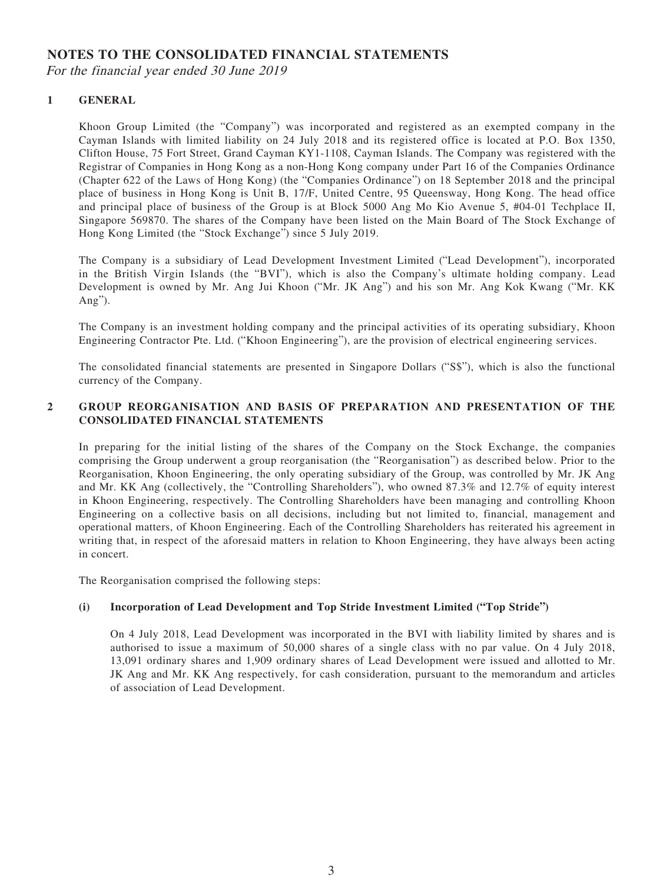## **NOTES TO THE CONSOLIDATED FINANCIAL STATEMENTS**

For the financial year ended 30 June 2019

### **1 GENERAL**

Khoon Group Limited (the "Company") was incorporated and registered as an exempted company in the Cayman Islands with limited liability on 24 July 2018 and its registered office is located at P.O. Box 1350, Clifton House, 75 Fort Street, Grand Cayman KY1-1108, Cayman Islands. The Company was registered with the Registrar of Companies in Hong Kong as a non-Hong Kong company under Part 16 of the Companies Ordinance (Chapter 622 of the Laws of Hong Kong) (the "Companies Ordinance") on 18 September 2018 and the principal place of business in Hong Kong is Unit B, 17/F, United Centre, 95 Queensway, Hong Kong. The head office and principal place of business of the Group is at Block 5000 Ang Mo Kio Avenue 5, #04-01 Techplace II, Singapore 569870. The shares of the Company have been listed on the Main Board of The Stock Exchange of Hong Kong Limited (the "Stock Exchange") since 5 July 2019.

The Company is a subsidiary of Lead Development Investment Limited ("Lead Development"), incorporated in the British Virgin Islands (the "BVI"), which is also the Company's ultimate holding company. Lead Development is owned by Mr. Ang Jui Khoon ("Mr. JK Ang") and his son Mr. Ang Kok Kwang ("Mr. KK Ang").

The Company is an investment holding company and the principal activities of its operating subsidiary, Khoon Engineering Contractor Pte. Ltd. ("Khoon Engineering"), are the provision of electrical engineering services.

The consolidated financial statements are presented in Singapore Dollars ("S\$"), which is also the functional currency of the Company.

### **2 GROUP REORGANISATION AND BASIS OF PREPARATION AND PRESENTATION OF THE CONSOLIDATED FINANCIAL STATEMENTS**

In preparing for the initial listing of the shares of the Company on the Stock Exchange, the companies comprising the Group underwent a group reorganisation (the "Reorganisation") as described below. Prior to the Reorganisation, Khoon Engineering, the only operating subsidiary of the Group, was controlled by Mr. JK Ang and Mr. KK Ang (collectively, the "Controlling Shareholders"), who owned 87.3% and 12.7% of equity interest in Khoon Engineering, respectively. The Controlling Shareholders have been managing and controlling Khoon Engineering on a collective basis on all decisions, including but not limited to, financial, management and operational matters, of Khoon Engineering. Each of the Controlling Shareholders has reiterated his agreement in writing that, in respect of the aforesaid matters in relation to Khoon Engineering, they have always been acting in concert.

The Reorganisation comprised the following steps:

### **(i) Incorporation of Lead Development and Top Stride Investment Limited ("Top Stride")**

On 4 July 2018, Lead Development was incorporated in the BVI with liability limited by shares and is authorised to issue a maximum of 50,000 shares of a single class with no par value. On 4 July 2018, 13,091 ordinary shares and 1,909 ordinary shares of Lead Development were issued and allotted to Mr. JK Ang and Mr. KK Ang respectively, for cash consideration, pursuant to the memorandum and articles of association of Lead Development.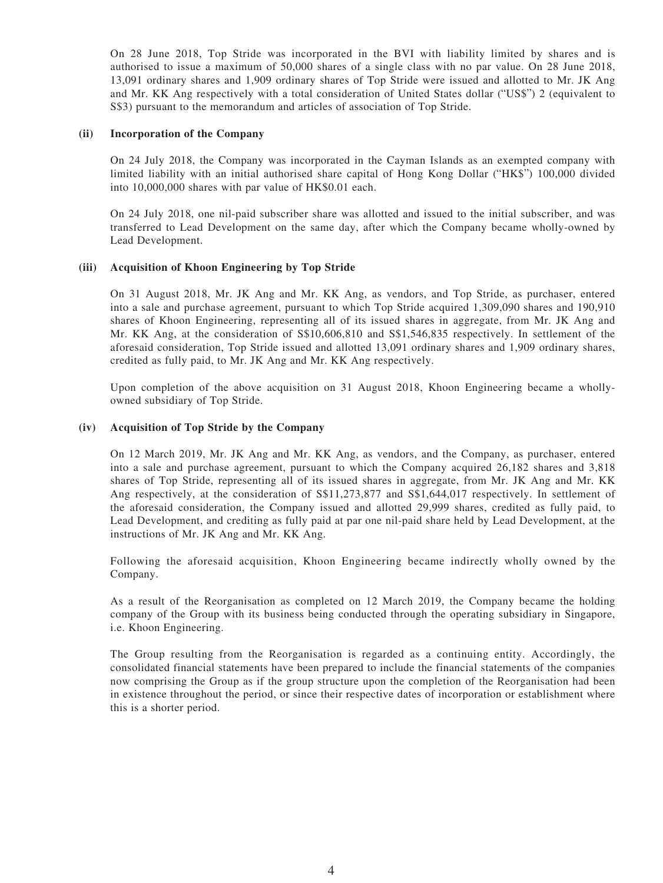On 28 June 2018, Top Stride was incorporated in the BVI with liability limited by shares and is authorised to issue a maximum of 50,000 shares of a single class with no par value. On 28 June 2018, 13,091 ordinary shares and 1,909 ordinary shares of Top Stride were issued and allotted to Mr. JK Ang and Mr. KK Ang respectively with a total consideration of United States dollar ("US\$") 2 (equivalent to S\$3) pursuant to the memorandum and articles of association of Top Stride.

#### **(ii) Incorporation of the Company**

On 24 July 2018, the Company was incorporated in the Cayman Islands as an exempted company with limited liability with an initial authorised share capital of Hong Kong Dollar ("HK\$") 100,000 divided into 10,000,000 shares with par value of HK\$0.01 each.

On 24 July 2018, one nil-paid subscriber share was allotted and issued to the initial subscriber, and was transferred to Lead Development on the same day, after which the Company became wholly-owned by Lead Development.

### **(iii) Acquisition of Khoon Engineering by Top Stride**

On 31 August 2018, Mr. JK Ang and Mr. KK Ang, as vendors, and Top Stride, as purchaser, entered into a sale and purchase agreement, pursuant to which Top Stride acquired 1,309,090 shares and 190,910 shares of Khoon Engineering, representing all of its issued shares in aggregate, from Mr. JK Ang and Mr. KK Ang, at the consideration of S\$10,606,810 and S\$1,546,835 respectively. In settlement of the aforesaid consideration, Top Stride issued and allotted 13,091 ordinary shares and 1,909 ordinary shares, credited as fully paid, to Mr. JK Ang and Mr. KK Ang respectively.

Upon completion of the above acquisition on 31 August 2018, Khoon Engineering became a whollyowned subsidiary of Top Stride.

#### **(iv) Acquisition of Top Stride by the Company**

On 12 March 2019, Mr. JK Ang and Mr. KK Ang, as vendors, and the Company, as purchaser, entered into a sale and purchase agreement, pursuant to which the Company acquired 26,182 shares and 3,818 shares of Top Stride, representing all of its issued shares in aggregate, from Mr. JK Ang and Mr. KK Ang respectively, at the consideration of S\$11,273,877 and S\$1,644,017 respectively. In settlement of the aforesaid consideration, the Company issued and allotted 29,999 shares, credited as fully paid, to Lead Development, and crediting as fully paid at par one nil-paid share held by Lead Development, at the instructions of Mr. JK Ang and Mr. KK Ang.

Following the aforesaid acquisition, Khoon Engineering became indirectly wholly owned by the Company.

As a result of the Reorganisation as completed on 12 March 2019, the Company became the holding company of the Group with its business being conducted through the operating subsidiary in Singapore, i.e. Khoon Engineering.

The Group resulting from the Reorganisation is regarded as a continuing entity. Accordingly, the consolidated financial statements have been prepared to include the financial statements of the companies now comprising the Group as if the group structure upon the completion of the Reorganisation had been in existence throughout the period, or since their respective dates of incorporation or establishment where this is a shorter period.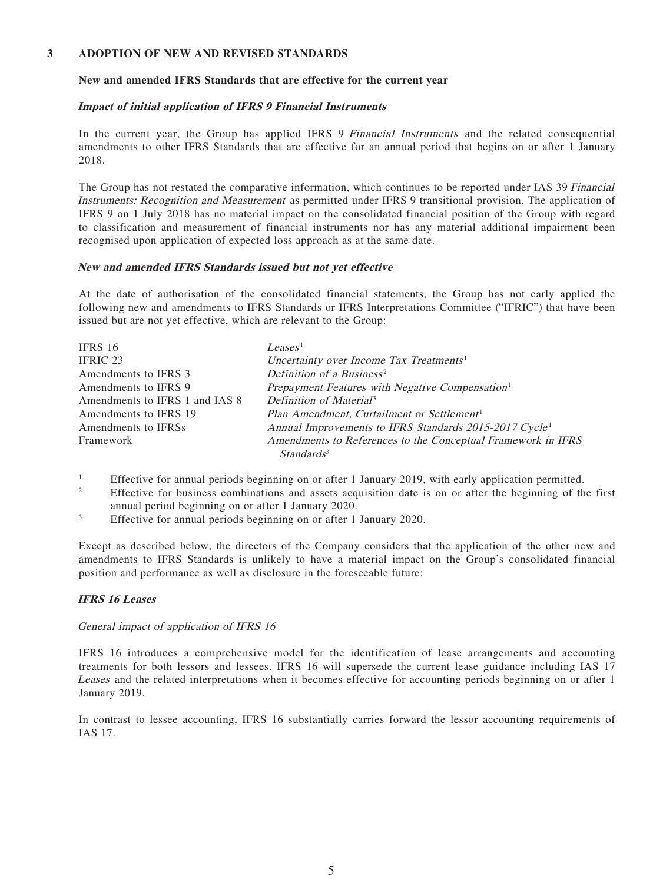#### **3 ADOPTION OF NEW AND REVISED STANDARDS**

#### **New and amended IFRS Standards that are effective for the current year**

#### **Impact of initial application of IFRS 9 Financial Instruments**

In the current year, the Group has applied IFRS 9 Financial Instruments and the related consequential amendments to other IFRS Standards that are effective for an annual period that begins on or after 1 January 2018.

The Group has not restated the comparative information, which continues to be reported under IAS 39 Financial Instruments: Recognition and Measurement as permitted under IFRS 9 transitional provision. The application of IFRS 9 on 1 July 2018 has no material impact on the consolidated financial position of the Group with regard to classification and measurement of financial instruments nor has any material additional impairment been recognised upon application of expected loss approach as at the same date.

#### **New and amended IFRS Standards issued but not yet effective**

At the date of authorisation of the consolidated financial statements, the Group has not early applied the following new and amendments to IFRS Standards or IFRS Interpretations Committee ("IFRIC") that have been issued but are not yet effective, which are relevant to the Group:

| <b>IFRS 16</b>                 | Leases <sup>1</sup>                                                |
|--------------------------------|--------------------------------------------------------------------|
| <b>IFRIC 23</b>                | Uncertainty over Income Tax Treatments <sup>1</sup>                |
| Amendments to IFRS 3           | Definition of a Business <sup>2</sup>                              |
| Amendments to IFRS 9           | Prepayment Features with Negative Compensation <sup>1</sup>        |
| Amendments to IFRS 1 and IAS 8 | Definition of Material <sup>3</sup>                                |
| Amendments to IFRS 19          | Plan Amendment, Curtailment or Settlement <sup>1</sup>             |
| Amendments to IFRSs            | Annual Improvements to IFRS Standards 2015-2017 Cycle <sup>1</sup> |
| Framework                      | Amendments to References to the Conceptual Framework in IFRS       |
|                                | Standards <sup>3</sup>                                             |

1 Effective for annual periods beginning on or after 1 January 2019, with early application permitted.

- 2 Effective for business combinations and assets acquisition date is on or after the beginning of the first annual period beginning on or after 1 January 2020.
- 3 Effective for annual periods beginning on or after 1 January 2020.

Except as described below, the directors of the Company considers that the application of the other new and amendments to IFRS Standards is unlikely to have a material impact on the Group's consolidated financial position and performance as well as disclosure in the foreseeable future:

### **IFRS 16 Leases**

#### General impact of application of IFRS 16

IFRS 16 introduces a comprehensive model for the identification of lease arrangements and accounting treatments for both lessors and lessees. IFRS 16 will supersede the current lease guidance including IAS 17 Leases and the related interpretations when it becomes effective for accounting periods beginning on or after 1 January 2019.

In contrast to lessee accounting, IFRS 16 substantially carries forward the lessor accounting requirements of IAS 17.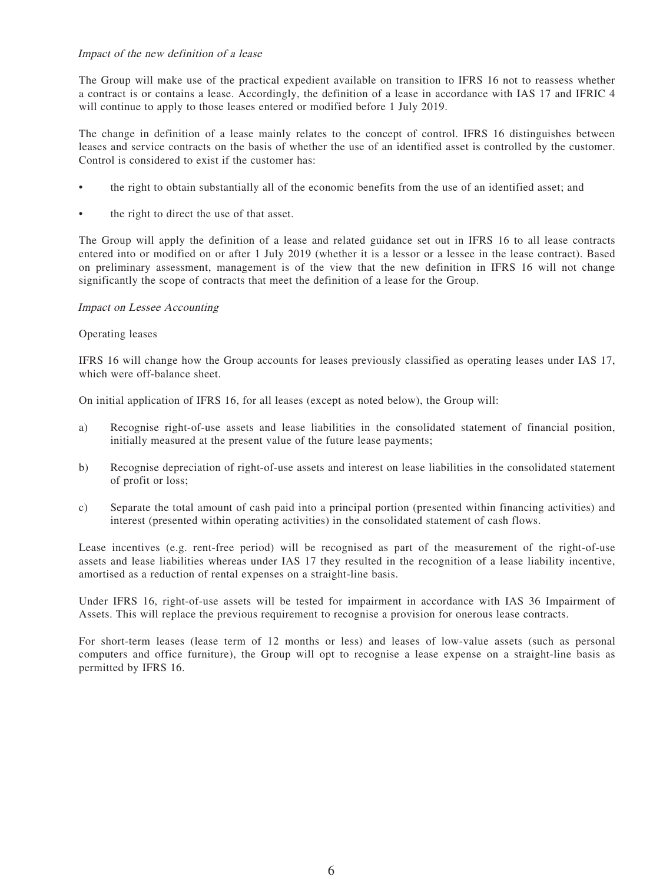### Impact of the new definition of a lease

The Group will make use of the practical expedient available on transition to IFRS 16 not to reassess whether a contract is or contains a lease. Accordingly, the definition of a lease in accordance with IAS 17 and IFRIC 4 will continue to apply to those leases entered or modified before 1 July 2019.

The change in definition of a lease mainly relates to the concept of control. IFRS 16 distinguishes between leases and service contracts on the basis of whether the use of an identified asset is controlled by the customer. Control is considered to exist if the customer has:

- the right to obtain substantially all of the economic benefits from the use of an identified asset; and
- the right to direct the use of that asset.

The Group will apply the definition of a lease and related guidance set out in IFRS 16 to all lease contracts entered into or modified on or after 1 July 2019 (whether it is a lessor or a lessee in the lease contract). Based on preliminary assessment, management is of the view that the new definition in IFRS 16 will not change significantly the scope of contracts that meet the definition of a lease for the Group.

#### Impact on Lessee Accounting

#### Operating leases

IFRS 16 will change how the Group accounts for leases previously classified as operating leases under IAS 17, which were off-balance sheet.

On initial application of IFRS 16, for all leases (except as noted below), the Group will:

- a) Recognise right-of-use assets and lease liabilities in the consolidated statement of financial position, initially measured at the present value of the future lease payments;
- b) Recognise depreciation of right-of-use assets and interest on lease liabilities in the consolidated statement of profit or loss;
- c) Separate the total amount of cash paid into a principal portion (presented within financing activities) and interest (presented within operating activities) in the consolidated statement of cash flows.

Lease incentives (e.g. rent-free period) will be recognised as part of the measurement of the right-of-use assets and lease liabilities whereas under IAS 17 they resulted in the recognition of a lease liability incentive, amortised as a reduction of rental expenses on a straight-line basis.

Under IFRS 16, right-of-use assets will be tested for impairment in accordance with IAS 36 Impairment of Assets. This will replace the previous requirement to recognise a provision for onerous lease contracts.

For short-term leases (lease term of 12 months or less) and leases of low-value assets (such as personal computers and office furniture), the Group will opt to recognise a lease expense on a straight-line basis as permitted by IFRS 16.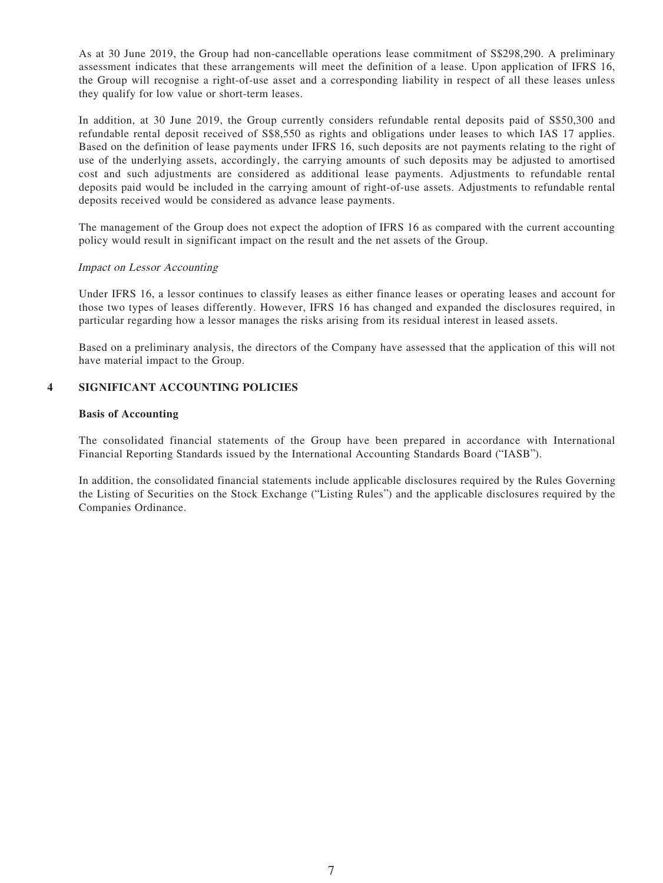As at 30 June 2019, the Group had non-cancellable operations lease commitment of S\$298,290. A preliminary assessment indicates that these arrangements will meet the definition of a lease. Upon application of IFRS 16, the Group will recognise a right-of-use asset and a corresponding liability in respect of all these leases unless they qualify for low value or short-term leases.

In addition, at 30 June 2019, the Group currently considers refundable rental deposits paid of S\$50,300 and refundable rental deposit received of S\$8,550 as rights and obligations under leases to which IAS 17 applies. Based on the definition of lease payments under IFRS 16, such deposits are not payments relating to the right of use of the underlying assets, accordingly, the carrying amounts of such deposits may be adjusted to amortised cost and such adjustments are considered as additional lease payments. Adjustments to refundable rental deposits paid would be included in the carrying amount of right-of-use assets. Adjustments to refundable rental deposits received would be considered as advance lease payments.

The management of the Group does not expect the adoption of IFRS 16 as compared with the current accounting policy would result in significant impact on the result and the net assets of the Group.

#### Impact on Lessor Accounting

Under IFRS 16, a lessor continues to classify leases as either finance leases or operating leases and account for those two types of leases differently. However, IFRS 16 has changed and expanded the disclosures required, in particular regarding how a lessor manages the risks arising from its residual interest in leased assets.

Based on a preliminary analysis, the directors of the Company have assessed that the application of this will not have material impact to the Group.

#### **4 SIGNIFICANT ACCOUNTING POLICIES**

#### **Basis of Accounting**

The consolidated financial statements of the Group have been prepared in accordance with International Financial Reporting Standards issued by the International Accounting Standards Board ("IASB").

In addition, the consolidated financial statements include applicable disclosures required by the Rules Governing the Listing of Securities on the Stock Exchange ("Listing Rules") and the applicable disclosures required by the Companies Ordinance.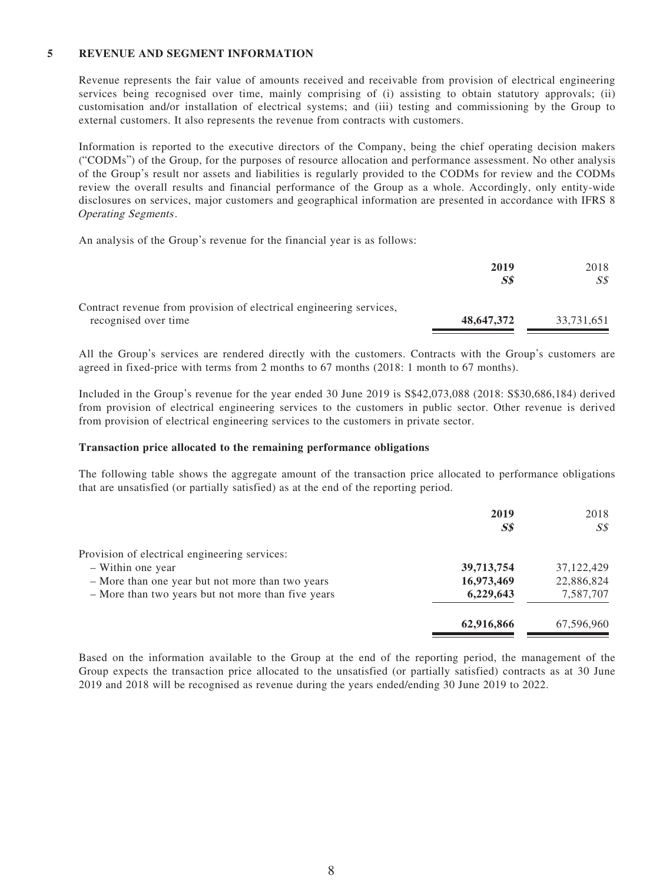### **5 REVENUE AND SEGMENT INFORMATION**

Revenue represents the fair value of amounts received and receivable from provision of electrical engineering services being recognised over time, mainly comprising of (i) assisting to obtain statutory approvals; (ii) customisation and/or installation of electrical systems; and (iii) testing and commissioning by the Group to external customers. It also represents the revenue from contracts with customers.

Information is reported to the executive directors of the Company, being the chief operating decision makers ("CODMs") of the Group, for the purposes of resource allocation and performance assessment. No other analysis of the Group's result nor assets and liabilities is regularly provided to the CODMs for review and the CODMs review the overall results and financial performance of the Group as a whole. Accordingly, only entity-wide disclosures on services, major customers and geographical information are presented in accordance with IFRS 8 Operating Segments.

An analysis of the Group's revenue for the financial year is as follows:

|                                                                     | 2019                     | 2018       |
|---------------------------------------------------------------------|--------------------------|------------|
|                                                                     | $\mathcal{S}\mathcal{S}$ | S\$        |
| Contract revenue from provision of electrical engineering services, |                          |            |
| recognised over time                                                | 48,647,372               | 33,731,651 |

All the Group's services are rendered directly with the customers. Contracts with the Group's customers are agreed in fixed-price with terms from 2 months to 67 months (2018: 1 month to 67 months).

Included in the Group's revenue for the year ended 30 June 2019 is S\$42,073,088 (2018: S\$30,686,184) derived from provision of electrical engineering services to the customers in public sector. Other revenue is derived from provision of electrical engineering services to the customers in private sector.

#### **Transaction price allocated to the remaining performance obligations**

The following table shows the aggregate amount of the transaction price allocated to performance obligations that are unsatisfied (or partially satisfied) as at the end of the reporting period.

|                                                    | 2019<br>S <sub>s</sub> | 2018<br>SS   |
|----------------------------------------------------|------------------------|--------------|
| Provision of electrical engineering services:      |                        |              |
| - Within one year                                  | 39,713,754             | 37, 122, 429 |
| - More than one year but not more than two years   | 16,973,469             | 22,886,824   |
| - More than two years but not more than five years | 6,229,643              | 7,587,707    |
|                                                    | 62,916,866             | 67,596,960   |

Based on the information available to the Group at the end of the reporting period, the management of the Group expects the transaction price allocated to the unsatisfied (or partially satisfied) contracts as at 30 June 2019 and 2018 will be recognised as revenue during the years ended/ending 30 June 2019 to 2022.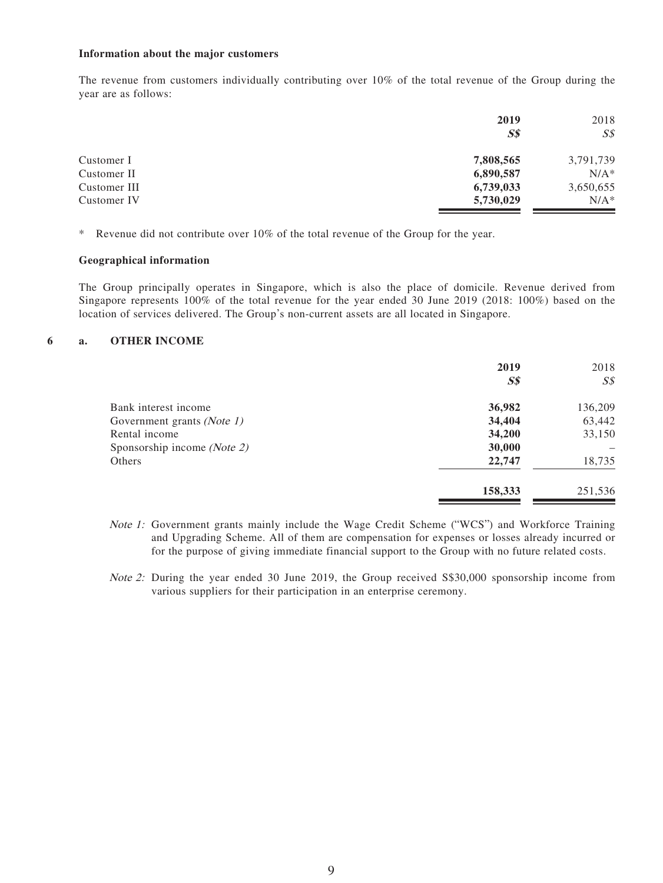#### **Information about the major customers**

The revenue from customers individually contributing over 10% of the total revenue of the Group during the year are as follows:

| 2019           | 2018           |
|----------------|----------------|
| S <sub>s</sub> | S <sub>s</sub> |
| 7,808,565      | 3,791,739      |
| 6,890,587      | $N/A^*$        |
| 6,739,033      | 3,650,655      |
| 5,730,029      | $N/A^*$        |
|                |                |

\* Revenue did not contribute over 10% of the total revenue of the Group for the year.

### **Geographical information**

The Group principally operates in Singapore, which is also the place of domicile. Revenue derived from Singapore represents 100% of the total revenue for the year ended 30 June 2019 (2018: 100%) based on the location of services delivered. The Group's non-current assets are all located in Singapore.

#### **6 a. OTHER INCOME**

|                             | 2019<br>S <sub>s</sub> | 2018<br>$S\mathcal{S}$ |
|-----------------------------|------------------------|------------------------|
| Bank interest income        | 36,982                 | 136,209                |
| Government grants (Note 1)  | 34,404                 | 63,442                 |
| Rental income               | 34,200                 | 33,150                 |
| Sponsorship income (Note 2) | 30,000                 |                        |
| Others                      | 22,747                 | 18,735                 |
|                             | 158,333                | 251,536                |

- Note 1: Government grants mainly include the Wage Credit Scheme ("WCS") and Workforce Training and Upgrading Scheme. All of them are compensation for expenses or losses already incurred or for the purpose of giving immediate financial support to the Group with no future related costs.
- Note 2: During the year ended 30 June 2019, the Group received S\$30,000 sponsorship income from various suppliers for their participation in an enterprise ceremony.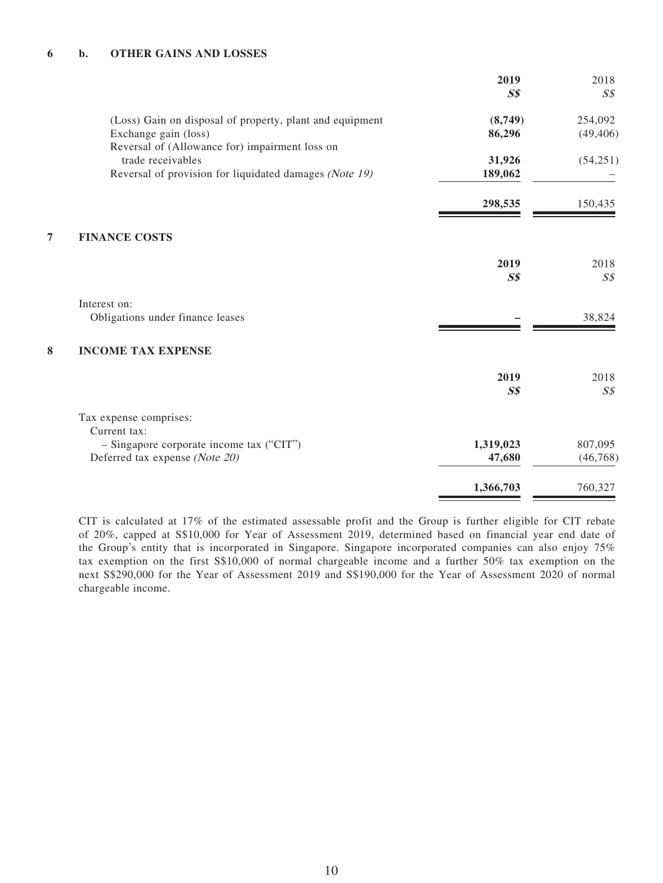### **6 b. OTHER GAINS AND LOSSES**

|                                                                                                                               | 2019<br>S <sub>s</sub> | 2018<br>S <sub>s</sub> |
|-------------------------------------------------------------------------------------------------------------------------------|------------------------|------------------------|
| (Loss) Gain on disposal of property, plant and equipment<br>Exchange gain (loss)                                              | (8,749)<br>86,296      | 254,092<br>(49, 406)   |
| Reversal of (Allowance for) impairment loss on<br>trade receivables<br>Reversal of provision for liquidated damages (Note 19) | 31,926<br>189,062      | (54, 251)              |
|                                                                                                                               | 298,535                | 150,435                |
| 7<br><b>FINANCE COSTS</b>                                                                                                     |                        |                        |
|                                                                                                                               | 2019<br>S <sub>s</sub> | 2018<br>$S\mathcal{S}$ |
| Interest on:<br>Obligations under finance leases                                                                              |                        | 38,824                 |
| 8<br><b>INCOME TAX EXPENSE</b>                                                                                                |                        |                        |
|                                                                                                                               | 2019<br>$S\$           | 2018<br>S <sub>s</sub> |
| Tax expense comprises:<br>Current tax:                                                                                        |                        |                        |
| - Singapore corporate income tax ("CIT")<br>Deferred tax expense (Note 20)                                                    | 1,319,023<br>47,680    | 807,095<br>(46, 768)   |
|                                                                                                                               | 1,366,703              | 760,327                |

CIT is calculated at 17% of the estimated assessable profit and the Group is further eligible for CIT rebate of 20%, capped at S\$10,000 for Year of Assessment 2019, determined based on financial year end date of the Group's entity that is incorporated in Singapore. Singapore incorporated companies can also enjoy 75% tax exemption on the first S\$10,000 of normal chargeable income and a further 50% tax exemption on the next S\$290,000 for the Year of Assessment 2019 and S\$190,000 for the Year of Assessment 2020 of normal chargeable income.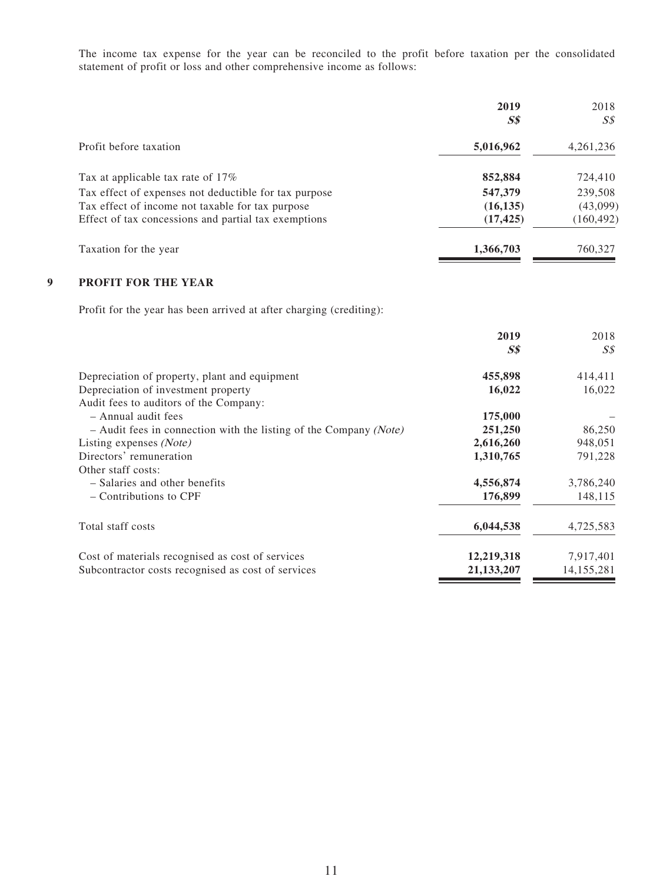The income tax expense for the year can be reconciled to the profit before taxation per the consolidated statement of profit or loss and other comprehensive income as follows:

|                                                       | 2019<br><b>S\$</b> | 2018<br>S\$ |
|-------------------------------------------------------|--------------------|-------------|
| Profit before taxation                                | 5,016,962          | 4, 261, 236 |
| Tax at applicable tax rate of 17%                     | 852,884            | 724,410     |
| Tax effect of expenses not deductible for tax purpose | 547,379            | 239,508     |
| Tax effect of income not taxable for tax purpose      | (16, 135)          | (43,099)    |
| Effect of tax concessions and partial tax exemptions  | (17, 425)          | (160,492)   |
| Taxation for the year                                 | 1,366,703          | 760,327     |

### **9 PROFIT FOR THE YEAR**

Profit for the year has been arrived at after charging (crediting):

| 2019                                                                           | 2018           |
|--------------------------------------------------------------------------------|----------------|
| $S\$                                                                           | S <sub>s</sub> |
| 455,898<br>Depreciation of property, plant and equipment                       | 414,411        |
| 16,022<br>Depreciation of investment property                                  | 16,022         |
| Audit fees to auditors of the Company:                                         |                |
| - Annual audit fees<br>175,000                                                 |                |
| 251,250<br>$-$ Audit fees in connection with the listing of the Company (Note) | 86,250         |
| 2,616,260<br>Listing expenses (Note)                                           | 948,051        |
| Directors' remuneration<br>1,310,765                                           | 791,228        |
| Other staff costs:                                                             |                |
| 4,556,874<br>- Salaries and other benefits                                     | 3,786,240      |
| 176,899<br>– Contributions to CPF                                              | 148,115        |
| 6,044,538<br>Total staff costs                                                 | 4,725,583      |
| 12,219,318<br>Cost of materials recognised as cost of services                 | 7,917,401      |
| Subcontractor costs recognised as cost of services<br>21,133,207               | 14,155,281     |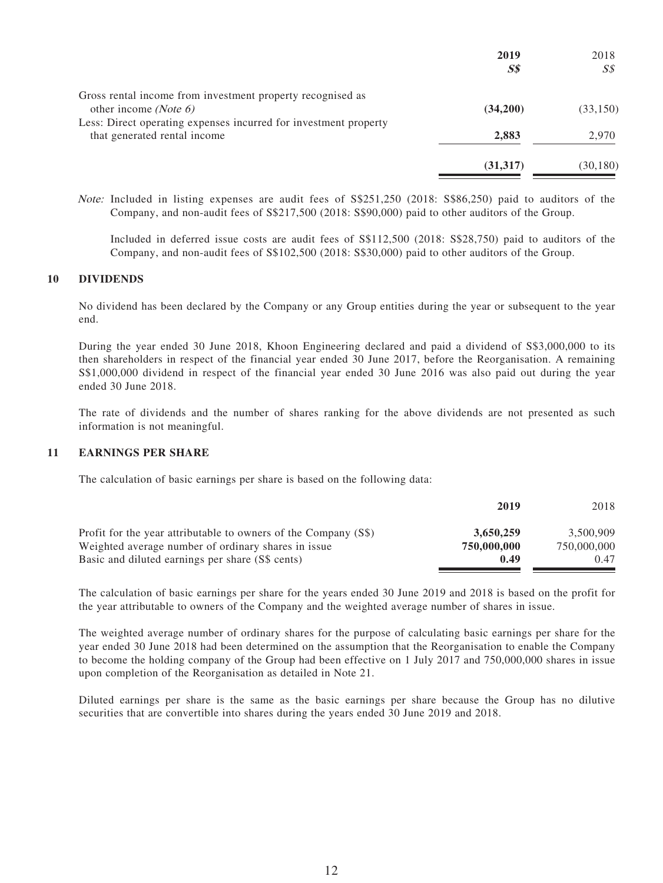| 2019     | 2018      |
|----------|-----------|
| $S\$     | SS        |
|          |           |
| (34,200) | (33, 150) |
|          |           |
| 2,883    | 2,970     |
| (31,317) | (30,180)  |
|          |           |

Note: Included in listing expenses are audit fees of S\$251,250 (2018: S\$86,250) paid to auditors of the Company, and non-audit fees of S\$217,500 (2018: S\$90,000) paid to other auditors of the Group.

Included in deferred issue costs are audit fees of S\$112,500 (2018: S\$28,750) paid to auditors of the Company, and non-audit fees of S\$102,500 (2018: S\$30,000) paid to other auditors of the Group.

#### **10 DIVIDENDS**

No dividend has been declared by the Company or any Group entities during the year or subsequent to the year end.

During the year ended 30 June 2018, Khoon Engineering declared and paid a dividend of S\$3,000,000 to its then shareholders in respect of the financial year ended 30 June 2017, before the Reorganisation. A remaining S\$1,000,000 dividend in respect of the financial year ended 30 June 2016 was also paid out during the year ended 30 June 2018.

The rate of dividends and the number of shares ranking for the above dividends are not presented as such information is not meaningful.

#### **11 EARNINGS PER SHARE**

The calculation of basic earnings per share is based on the following data:

|                                                                 | 2019        | 2018        |
|-----------------------------------------------------------------|-------------|-------------|
| Profit for the year attributable to owners of the Company (S\$) | 3,650,259   | 3.500.909   |
| Weighted average number of ordinary shares in issue             | 750,000,000 | 750,000,000 |
| Basic and diluted earnings per share (S\$ cents)                | 0.49        | 0.47        |

The calculation of basic earnings per share for the years ended 30 June 2019 and 2018 is based on the profit for the year attributable to owners of the Company and the weighted average number of shares in issue.

The weighted average number of ordinary shares for the purpose of calculating basic earnings per share for the year ended 30 June 2018 had been determined on the assumption that the Reorganisation to enable the Company to become the holding company of the Group had been effective on 1 July 2017 and 750,000,000 shares in issue upon completion of the Reorganisation as detailed in Note 21.

Diluted earnings per share is the same as the basic earnings per share because the Group has no dilutive securities that are convertible into shares during the years ended 30 June 2019 and 2018.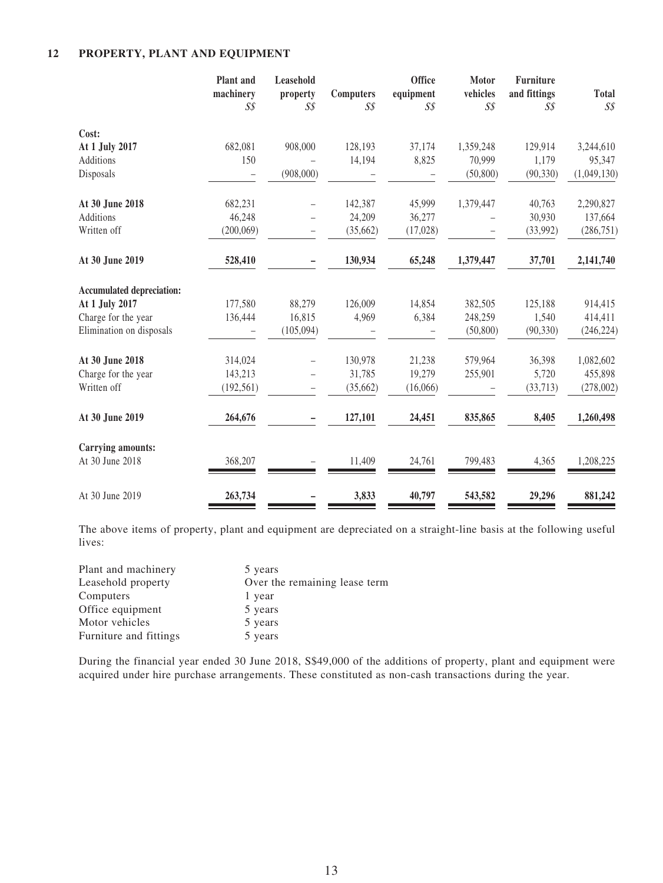### **12 PROPERTY, PLANT AND EQUIPMENT**

|                                  | Plant and<br>machinery<br>$S\mathcal{S}$ | Leasehold<br>property<br>$S\mathcal{S}$ | <b>Computers</b><br>$S\mathcal{S}$ | <b>Office</b><br>equipment<br>$S\mathcal{S}$ | <b>Motor</b><br>vehicles<br>$S\mathcal{S}$ | <b>Furniture</b><br>and fittings<br>$S\mathcal{S}$ | <b>Total</b><br>$S\mathcal{S}$ |
|----------------------------------|------------------------------------------|-----------------------------------------|------------------------------------|----------------------------------------------|--------------------------------------------|----------------------------------------------------|--------------------------------|
| Cost:                            |                                          |                                         |                                    |                                              |                                            |                                                    |                                |
| At 1 July 2017                   | 682,081                                  | 908,000                                 | 128,193                            | 37,174                                       | 1,359,248                                  | 129,914                                            | 3,244,610                      |
| Additions                        | 150                                      |                                         | 14,194                             | 8,825                                        | 70,999                                     | 1,179                                              | 95,347                         |
| Disposals                        |                                          | (908,000)                               |                                    |                                              | (50, 800)                                  | (90, 330)                                          | (1,049,130)                    |
| At 30 June 2018                  | 682,231                                  |                                         | 142,387                            | 45,999                                       | 1,379,447                                  | 40,763                                             | 2,290,827                      |
| Additions                        | 46,248                                   |                                         | 24,209                             | 36,277                                       |                                            | 30,930                                             | 137,664                        |
| Written off                      | (200,069)                                |                                         | (35,662)                           | (17, 028)                                    |                                            | (33,992)                                           | (286, 751)                     |
| At 30 June 2019                  | 528,410                                  |                                         | 130,934                            | 65,248                                       | 1,379,447                                  | 37,701                                             | 2,141,740                      |
| <b>Accumulated depreciation:</b> |                                          |                                         |                                    |                                              |                                            |                                                    |                                |
| At 1 July 2017                   | 177,580                                  | 88,279                                  | 126,009                            | 14,854                                       | 382,505                                    | 125,188                                            | 914,415                        |
| Charge for the year              | 136,444                                  | 16,815                                  | 4,969                              | 6,384                                        | 248,259                                    | 1,540                                              | 414,411                        |
| Elimination on disposals         |                                          | (105,094)                               |                                    |                                              | (50, 800)                                  | (90, 330)                                          | (246, 224)                     |
| At 30 June 2018                  | 314,024                                  |                                         | 130,978                            | 21,238                                       | 579,964                                    | 36,398                                             | 1,082,602                      |
| Charge for the year              | 143,213                                  |                                         | 31,785                             | 19,279                                       | 255,901                                    | 5,720                                              | 455,898                        |
| Written off                      | (192, 561)                               |                                         | (35,662)                           | (16,066)                                     |                                            | (33,713)                                           | (278,002)                      |
| At 30 June 2019                  | 264,676                                  |                                         | 127,101                            | 24,451                                       | 835,865                                    | 8,405                                              | 1,260,498                      |
| <b>Carrying amounts:</b>         |                                          |                                         |                                    |                                              |                                            |                                                    |                                |
| At 30 June 2018                  | 368,207                                  |                                         | 11,409                             | 24,761                                       | 799,483                                    | 4,365                                              | 1,208,225                      |
| At 30 June 2019                  | 263,734                                  |                                         | 3,833                              | 40,797                                       | 543,582                                    | 29,296                                             | 881,242                        |

The above items of property, plant and equipment are depreciated on a straight-line basis at the following useful lives:

| 5 years                       |
|-------------------------------|
| Over the remaining lease term |
| 1 year                        |
| 5 years                       |
| 5 years                       |
| 5 years                       |
|                               |

During the financial year ended 30 June 2018, S\$49,000 of the additions of property, plant and equipment were acquired under hire purchase arrangements. These constituted as non-cash transactions during the year.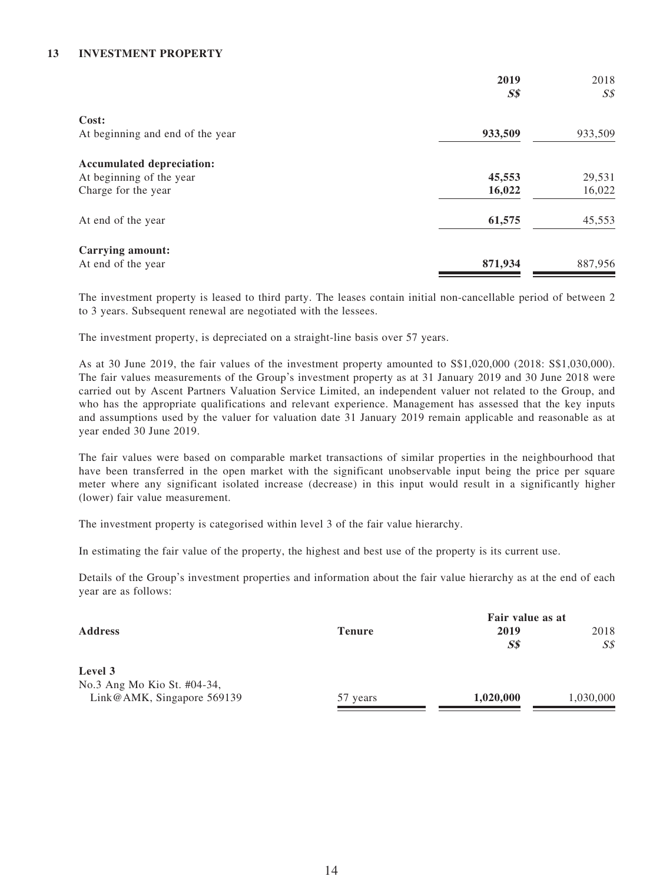### **13 INVESTMENT PROPERTY**

|                                  | 2019           | 2018           |
|----------------------------------|----------------|----------------|
|                                  | S <sub>s</sub> | S <sub>s</sub> |
| Cost:                            |                |                |
| At beginning and end of the year | 933,509        | 933,509        |
| <b>Accumulated depreciation:</b> |                |                |
| At beginning of the year         | 45,553         | 29,531         |
| Charge for the year              | 16,022         | 16,022         |
| At end of the year               | 61,575         | 45,553         |
| Carrying amount:                 |                |                |
| At end of the year               | 871,934        | 887,956        |

The investment property is leased to third party. The leases contain initial non-cancellable period of between 2 to 3 years. Subsequent renewal are negotiated with the lessees.

The investment property, is depreciated on a straight-line basis over 57 years.

As at 30 June 2019, the fair values of the investment property amounted to S\$1,020,000 (2018: S\$1,030,000). The fair values measurements of the Group's investment property as at 31 January 2019 and 30 June 2018 were carried out by Ascent Partners Valuation Service Limited, an independent valuer not related to the Group, and who has the appropriate qualifications and relevant experience. Management has assessed that the key inputs and assumptions used by the valuer for valuation date 31 January 2019 remain applicable and reasonable as at year ended 30 June 2019.

The fair values were based on comparable market transactions of similar properties in the neighbourhood that have been transferred in the open market with the significant unobservable input being the price per square meter where any significant isolated increase (decrease) in this input would result in a significantly higher (lower) fair value measurement.

The investment property is categorised within level 3 of the fair value hierarchy.

In estimating the fair value of the property, the highest and best use of the property is its current use.

Details of the Group's investment properties and information about the fair value hierarchy as at the end of each year are as follows:

|                                                           |               | Fair value as at   |                        |
|-----------------------------------------------------------|---------------|--------------------|------------------------|
| <b>Address</b>                                            | <b>Tenure</b> | 2019<br><b>S\$</b> | 2018<br>$S\mathcal{S}$ |
| Level 3                                                   |               |                    |                        |
| No.3 Ang Mo Kio St. #04-34,<br>Link@AMK, Singapore 569139 | 57 years      | 1,020,000          | 1,030,000              |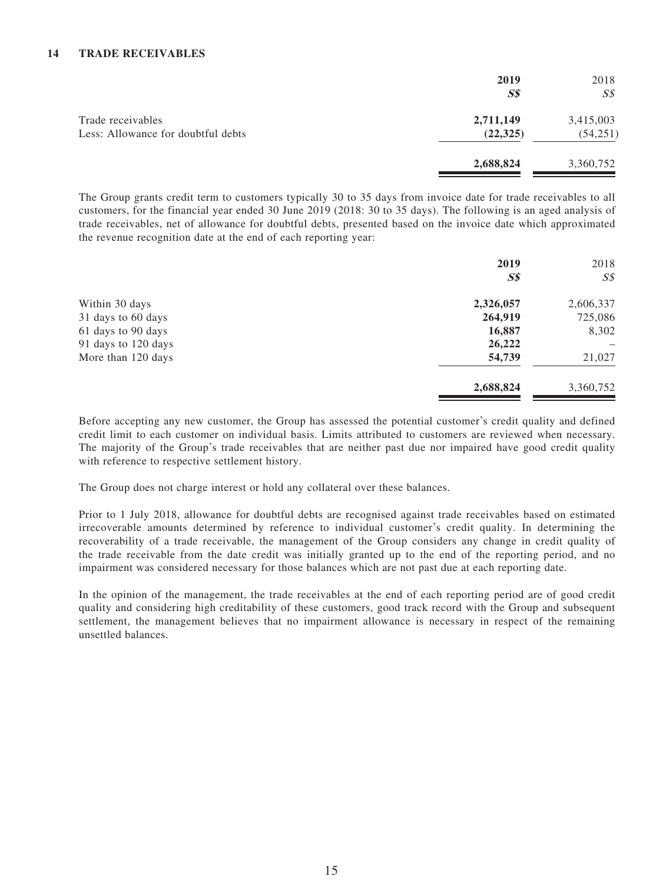### **14 TRADE RECEIVABLES**

|                                                         | 2019<br>$S\$           | 2018<br>S <sub>S</sub> |
|---------------------------------------------------------|------------------------|------------------------|
| Trade receivables<br>Less: Allowance for doubtful debts | 2,711,149<br>(22, 325) | 3,415,003<br>(54, 251) |
|                                                         | 2,688,824              | 3,360,752              |

The Group grants credit term to customers typically 30 to 35 days from invoice date for trade receivables to all customers, for the financial year ended 30 June 2019 (2018: 30 to 35 days). The following is an aged analysis of trade receivables, net of allowance for doubtful debts, presented based on the invoice date which approximated the revenue recognition date at the end of each reporting year:

|                     | 2019           | 2018      |
|---------------------|----------------|-----------|
|                     | S <sub>s</sub> | S\$       |
| Within 30 days      | 2,326,057      | 2,606,337 |
| 31 days to 60 days  | 264,919        | 725,086   |
| 61 days to 90 days  | 16,887         | 8,302     |
| 91 days to 120 days | 26,222         |           |
| More than 120 days  | 54,739         | 21,027    |
|                     | 2,688,824      | 3,360,752 |

Before accepting any new customer, the Group has assessed the potential customer's credit quality and defined credit limit to each customer on individual basis. Limits attributed to customers are reviewed when necessary. The majority of the Group's trade receivables that are neither past due nor impaired have good credit quality with reference to respective settlement history.

The Group does not charge interest or hold any collateral over these balances.

Prior to 1 July 2018, allowance for doubtful debts are recognised against trade receivables based on estimated irrecoverable amounts determined by reference to individual customer's credit quality. In determining the recoverability of a trade receivable, the management of the Group considers any change in credit quality of the trade receivable from the date credit was initially granted up to the end of the reporting period, and no impairment was considered necessary for those balances which are not past due at each reporting date.

In the opinion of the management, the trade receivables at the end of each reporting period are of good credit quality and considering high creditability of these customers, good track record with the Group and subsequent settlement, the management believes that no impairment allowance is necessary in respect of the remaining unsettled balances.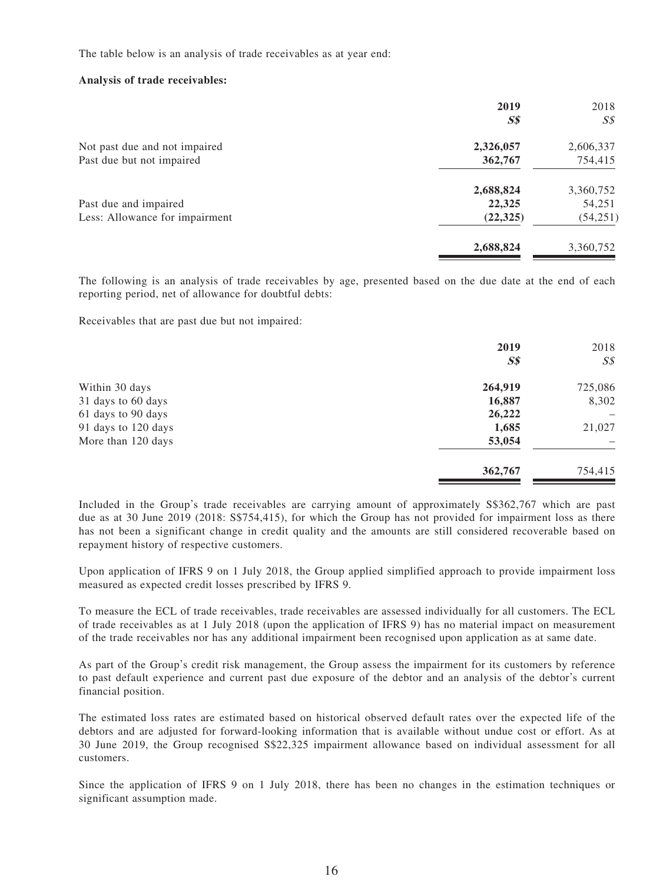The table below is an analysis of trade receivables as at year end:

#### **Analysis of trade receivables:**

|                                | 2019<br>$S\$ | 2018<br>$S\mathcal{S}$ |
|--------------------------------|--------------|------------------------|
| Not past due and not impaired  | 2,326,057    | 2,606,337              |
| Past due but not impaired      | 362,767      | 754,415                |
|                                | 2,688,824    | 3,360,752              |
| Past due and impaired          | 22,325       | 54,251                 |
| Less: Allowance for impairment | (22, 325)    | (54,251)               |
|                                | 2,688,824    | 3,360,752              |

The following is an analysis of trade receivables by age, presented based on the due date at the end of each reporting period, net of allowance for doubtful debts:

Receivables that are past due but not impaired:

|                     | 2019           | 2018           |
|---------------------|----------------|----------------|
|                     | S <sub>s</sub> | S <sub>s</sub> |
| Within 30 days      | 264,919        | 725,086        |
| 31 days to 60 days  | 16,887         | 8,302          |
| 61 days to 90 days  | 26,222         |                |
| 91 days to 120 days | 1,685          | 21,027         |
| More than 120 days  | 53,054         |                |
|                     | 362,767        | 754,415        |

Included in the Group's trade receivables are carrying amount of approximately S\$362,767 which are past due as at 30 June 2019 (2018: S\$754,415), for which the Group has not provided for impairment loss as there has not been a significant change in credit quality and the amounts are still considered recoverable based on repayment history of respective customers.

Upon application of IFRS 9 on 1 July 2018, the Group applied simplified approach to provide impairment loss measured as expected credit losses prescribed by IFRS 9.

To measure the ECL of trade receivables, trade receivables are assessed individually for all customers. The ECL of trade receivables as at 1 July 2018 (upon the application of IFRS 9) has no material impact on measurement of the trade receivables nor has any additional impairment been recognised upon application as at same date.

As part of the Group's credit risk management, the Group assess the impairment for its customers by reference to past default experience and current past due exposure of the debtor and an analysis of the debtor's current financial position.

The estimated loss rates are estimated based on historical observed default rates over the expected life of the debtors and are adjusted for forward-looking information that is available without undue cost or effort. As at 30 June 2019, the Group recognised S\$22,325 impairment allowance based on individual assessment for all customers.

Since the application of IFRS 9 on 1 July 2018, there has been no changes in the estimation techniques or significant assumption made.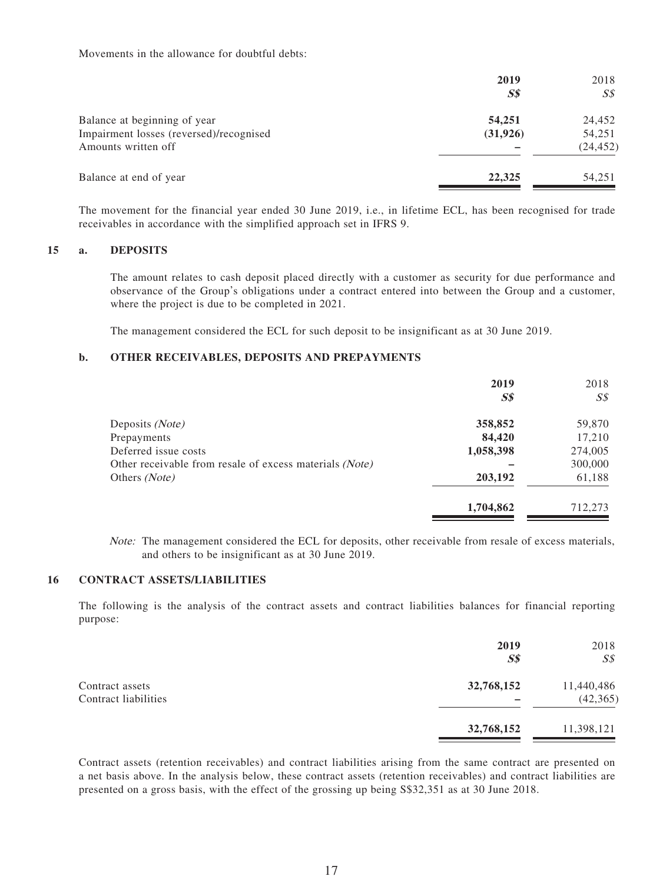Movements in the allowance for doubtful debts:

|                                         | 2019<br>$S\$ | 2018<br>SS |
|-----------------------------------------|--------------|------------|
| Balance at beginning of year            | 54,251       | 24,452     |
| Impairment losses (reversed)/recognised | (31, 926)    | 54,251     |
| Amounts written off                     |              | (24, 452)  |
| Balance at end of year                  | 22,325       | 54,251     |

The movement for the financial year ended 30 June 2019, i.e., in lifetime ECL, has been recognised for trade receivables in accordance with the simplified approach set in IFRS 9.

#### **15 a. DEPOSITS**

The amount relates to cash deposit placed directly with a customer as security for due performance and observance of the Group's obligations under a contract entered into between the Group and a customer, where the project is due to be completed in 2021.

The management considered the ECL for such deposit to be insignificant as at 30 June 2019.

#### **b. OTHER RECEIVABLES, DEPOSITS AND PREPAYMENTS**

|                                                         | 2019<br><b>S\$</b> | 2018<br>$S\mathcal{S}$ |
|---------------------------------------------------------|--------------------|------------------------|
| Deposits (Note)                                         | 358,852            | 59,870                 |
| Prepayments                                             | 84,420             | 17,210                 |
| Deferred issue costs                                    | 1,058,398          | 274,005                |
| Other receivable from resale of excess materials (Note) |                    | 300,000                |
| Others (Note)                                           | 203,192            | 61,188                 |
|                                                         | 1,704,862          | 712,273                |

Note: The management considered the ECL for deposits, other receivable from resale of excess materials, and others to be insignificant as at 30 June 2019.

#### **16 CONTRACT ASSETS/LIABILITIES**

The following is the analysis of the contract assets and contract liabilities balances for financial reporting purpose:

|                                         | 2019<br>S <sub>s</sub> | 2018<br>$S\mathcal{S}$  |
|-----------------------------------------|------------------------|-------------------------|
| Contract assets<br>Contract liabilities | 32,768,152             | 11,440,486<br>(42, 365) |
|                                         | 32,768,152             | 11,398,121              |

Contract assets (retention receivables) and contract liabilities arising from the same contract are presented on a net basis above. In the analysis below, these contract assets (retention receivables) and contract liabilities are presented on a gross basis, with the effect of the grossing up being S\$32,351 as at 30 June 2018.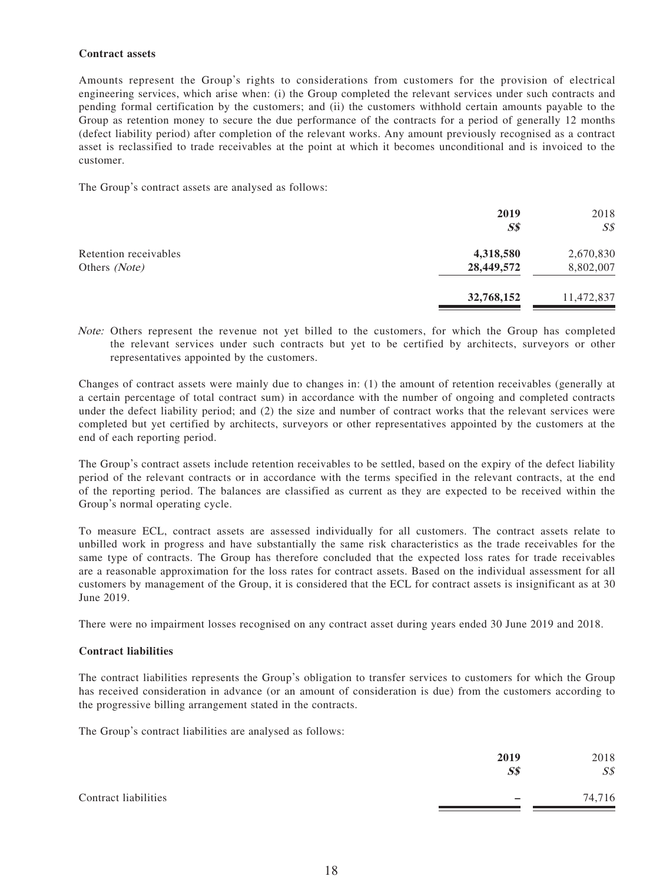### **Contract assets**

Amounts represent the Group's rights to considerations from customers for the provision of electrical engineering services, which arise when: (i) the Group completed the relevant services under such contracts and pending formal certification by the customers; and (ii) the customers withhold certain amounts payable to the Group as retention money to secure the due performance of the contracts for a period of generally 12 months (defect liability period) after completion of the relevant works. Any amount previously recognised as a contract asset is reclassified to trade receivables at the point at which it becomes unconditional and is invoiced to the customer.

The Group's contract assets are analysed as follows:

|                                        | 2019<br>$S\$            | 2018<br>$S\mathcal{S}$ |
|----------------------------------------|-------------------------|------------------------|
| Retention receivables<br>Others (Note) | 4,318,580<br>28,449,572 | 2,670,830<br>8,802,007 |
|                                        | 32,768,152              | 11,472,837             |

Note: Others represent the revenue not yet billed to the customers, for which the Group has completed the relevant services under such contracts but yet to be certified by architects, surveyors or other representatives appointed by the customers.

Changes of contract assets were mainly due to changes in: (1) the amount of retention receivables (generally at a certain percentage of total contract sum) in accordance with the number of ongoing and completed contracts under the defect liability period; and (2) the size and number of contract works that the relevant services were completed but yet certified by architects, surveyors or other representatives appointed by the customers at the end of each reporting period.

The Group's contract assets include retention receivables to be settled, based on the expiry of the defect liability period of the relevant contracts or in accordance with the terms specified in the relevant contracts, at the end of the reporting period. The balances are classified as current as they are expected to be received within the Group's normal operating cycle.

To measure ECL, contract assets are assessed individually for all customers. The contract assets relate to unbilled work in progress and have substantially the same risk characteristics as the trade receivables for the same type of contracts. The Group has therefore concluded that the expected loss rates for trade receivables are a reasonable approximation for the loss rates for contract assets. Based on the individual assessment for all customers by management of the Group, it is considered that the ECL for contract assets is insignificant as at 30 June 2019.

There were no impairment losses recognised on any contract asset during years ended 30 June 2019 and 2018.

### **Contract liabilities**

The contract liabilities represents the Group's obligation to transfer services to customers for which the Group has received consideration in advance (or an amount of consideration is due) from the customers according to the progressive billing arrangement stated in the contracts.

The Group's contract liabilities are analysed as follows:

|                      | 2019<br>$S\$ | 2018<br>S <sub>s</sub> |
|----------------------|--------------|------------------------|
| Contract liabilities |              | 74,716                 |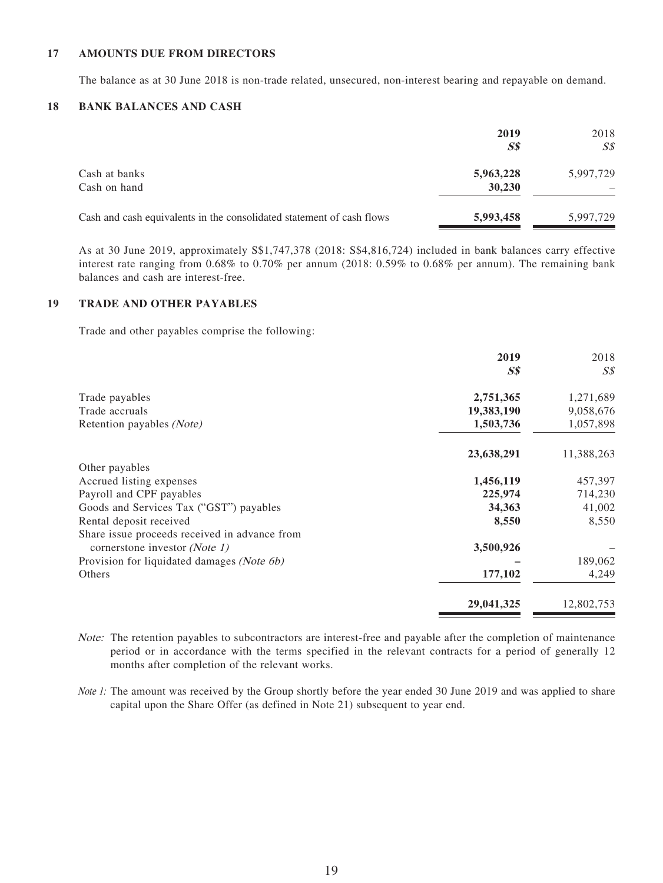#### **17 AMOUNTS DUE FROM DIRECTORS**

The balance as at 30 June 2018 is non-trade related, unsecured, non-interest bearing and repayable on demand.

### **18 BANK BALANCES AND CASH**

|                                                                       | 2019<br>$S\$        | 2018<br>$S\mathcal{S}$ |
|-----------------------------------------------------------------------|---------------------|------------------------|
| Cash at banks<br>Cash on hand                                         | 5,963,228<br>30,230 | 5,997,729              |
| Cash and cash equivalents in the consolidated statement of cash flows | 5,993,458           | 5,997,729              |

As at 30 June 2019, approximately S\$1,747,378 (2018: S\$4,816,724) included in bank balances carry effective interest rate ranging from 0.68% to 0.70% per annum (2018: 0.59% to 0.68% per annum). The remaining bank balances and cash are interest-free.

### **19 TRADE AND OTHER PAYABLES**

Trade and other payables comprise the following:

|                                               | 2019<br>$S\$ | 2018<br>SS |
|-----------------------------------------------|--------------|------------|
| Trade payables                                | 2,751,365    | 1,271,689  |
| Trade accruals                                | 19,383,190   | 9,058,676  |
| Retention payables (Note)                     | 1,503,736    | 1,057,898  |
|                                               | 23,638,291   | 11,388,263 |
| Other payables                                |              |            |
| Accrued listing expenses                      | 1,456,119    | 457,397    |
| Payroll and CPF payables                      | 225,974      | 714,230    |
| Goods and Services Tax ("GST") payables       | 34,363       | 41,002     |
| Rental deposit received                       | 8,550        | 8,550      |
| Share issue proceeds received in advance from |              |            |
| cornerstone investor (Note 1)                 | 3,500,926    |            |
| Provision for liquidated damages (Note 6b)    |              | 189,062    |
| Others                                        | 177,102      | 4,249      |
|                                               | 29,041,325   | 12,802,753 |

Note: The retention payables to subcontractors are interest-free and payable after the completion of maintenance period or in accordance with the terms specified in the relevant contracts for a period of generally 12 months after completion of the relevant works.

Note 1: The amount was received by the Group shortly before the year ended 30 June 2019 and was applied to share capital upon the Share Offer (as defined in Note 21) subsequent to year end.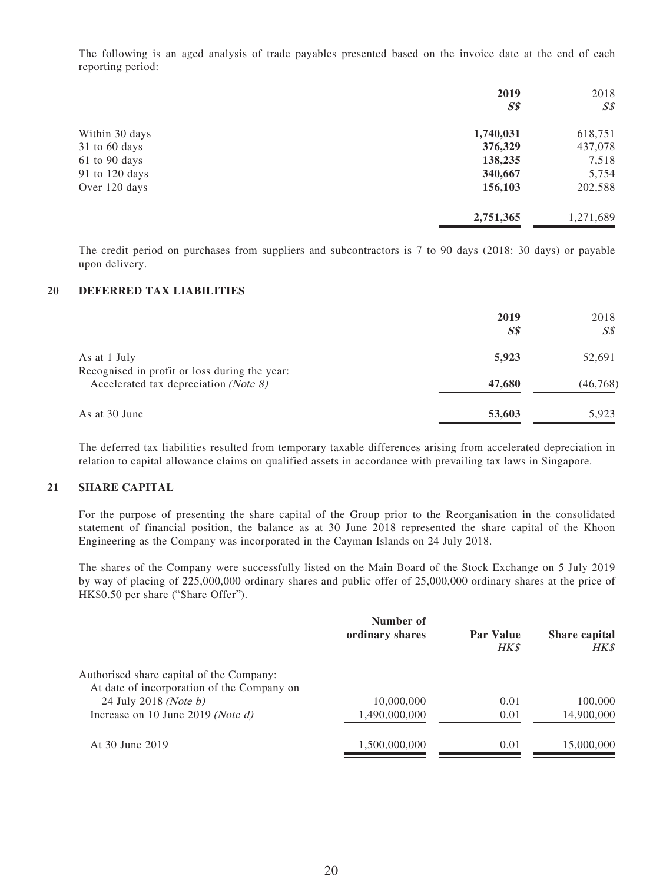The following is an aged analysis of trade payables presented based on the invoice date at the end of each reporting period:

|                | 2019           | 2018           |
|----------------|----------------|----------------|
|                | S <sub>s</sub> | S <sub>s</sub> |
| Within 30 days | 1,740,031      | 618,751        |
| 31 to 60 days  | 376,329        | 437,078        |
| 61 to 90 days  | 138,235        | 7,518          |
| 91 to 120 days | 340,667        | 5,754          |
| Over 120 days  | 156,103        | 202,588        |
|                | 2,751,365      | 1,271,689      |

The credit period on purchases from suppliers and subcontractors is 7 to 90 days (2018: 30 days) or payable upon delivery.

#### **20 DEFERRED TAX LIABILITIES**

|                                                                                                 | 2019<br>$S\$ | 2018<br>$S\mathcal{S}$ |
|-------------------------------------------------------------------------------------------------|--------------|------------------------|
| As at 1 July                                                                                    | 5,923        | 52,691                 |
| Recognised in profit or loss during the year:<br>Accelerated tax depreciation ( <i>Note 8</i> ) | 47,680       | (46, 768)              |
| As at 30 June                                                                                   | 53,603       | 5,923                  |

The deferred tax liabilities resulted from temporary taxable differences arising from accelerated depreciation in relation to capital allowance claims on qualified assets in accordance with prevailing tax laws in Singapore.

### **21 SHARE CAPITAL**

For the purpose of presenting the share capital of the Group prior to the Reorganisation in the consolidated statement of financial position, the balance as at 30 June 2018 represented the share capital of the Khoon Engineering as the Company was incorporated in the Cayman Islands on 24 July 2018.

The shares of the Company were successfully listed on the Main Board of the Stock Exchange on 5 July 2019 by way of placing of 225,000,000 ordinary shares and public offer of 25,000,000 ordinary shares at the price of HK\$0.50 per share ("Share Offer").

| Number of       |                          |                                     |
|-----------------|--------------------------|-------------------------------------|
| ordinary shares | <b>Par Value</b><br>HK\$ | <b>Share capital</b><br><b>HK\$</b> |
|                 |                          |                                     |
| 10,000,000      | 0.01                     | 100,000                             |
| 1,490,000,000   | 0.01                     | 14,900,000                          |
| 1,500,000,000   | 0.01                     | 15,000,000                          |
|                 |                          |                                     |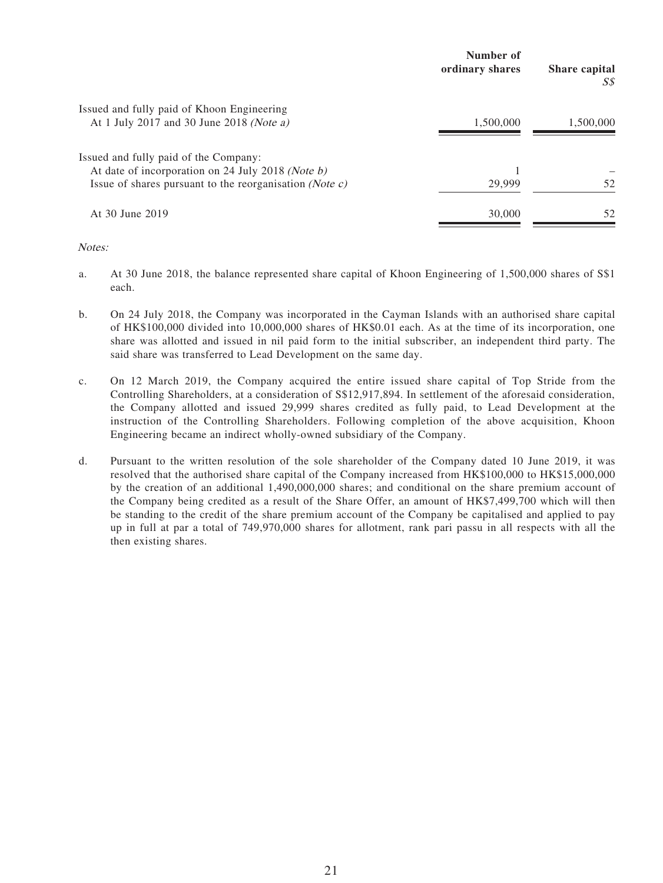|                                                                  | Number of<br>ordinary shares | Share capital<br>S\$ |
|------------------------------------------------------------------|------------------------------|----------------------|
| Issued and fully paid of Khoon Engineering                       |                              |                      |
| At 1 July 2017 and 30 June 2018 (Note a)                         | 1,500,000                    | 1,500,000            |
| Issued and fully paid of the Company:                            |                              |                      |
| At date of incorporation on 24 July 2018 (Note b)                |                              |                      |
| Issue of shares pursuant to the reorganisation ( <i>Note c</i> ) | 29,999                       | 52                   |
| At 30 June 2019                                                  | 30,000                       | 52                   |
|                                                                  |                              |                      |

Notes:

- a. At 30 June 2018, the balance represented share capital of Khoon Engineering of 1,500,000 shares of S\$1 each.
- b. On 24 July 2018, the Company was incorporated in the Cayman Islands with an authorised share capital of HK\$100,000 divided into 10,000,000 shares of HK\$0.01 each. As at the time of its incorporation, one share was allotted and issued in nil paid form to the initial subscriber, an independent third party. The said share was transferred to Lead Development on the same day.
- c. On 12 March 2019, the Company acquired the entire issued share capital of Top Stride from the Controlling Shareholders, at a consideration of S\$12,917,894. In settlement of the aforesaid consideration, the Company allotted and issued 29,999 shares credited as fully paid, to Lead Development at the instruction of the Controlling Shareholders. Following completion of the above acquisition, Khoon Engineering became an indirect wholly-owned subsidiary of the Company.
- d. Pursuant to the written resolution of the sole shareholder of the Company dated 10 June 2019, it was resolved that the authorised share capital of the Company increased from HK\$100,000 to HK\$15,000,000 by the creation of an additional 1,490,000,000 shares; and conditional on the share premium account of the Company being credited as a result of the Share Offer, an amount of HK\$7,499,700 which will then be standing to the credit of the share premium account of the Company be capitalised and applied to pay up in full at par a total of 749,970,000 shares for allotment, rank pari passu in all respects with all the then existing shares.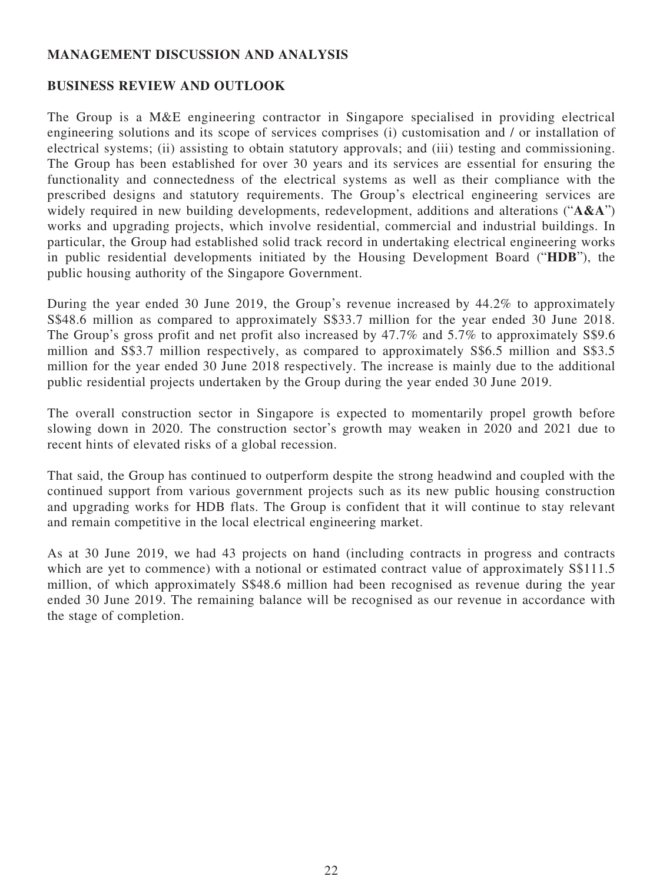# **MANAGEMENT DISCUSSION AND ANALYSIS**

## **BUSINESS REVIEW AND OUTLOOK**

The Group is a M&E engineering contractor in Singapore specialised in providing electrical engineering solutions and its scope of services comprises (i) customisation and / or installation of electrical systems; (ii) assisting to obtain statutory approvals; and (iii) testing and commissioning. The Group has been established for over 30 years and its services are essential for ensuring the functionality and connectedness of the electrical systems as well as their compliance with the prescribed designs and statutory requirements. The Group's electrical engineering services are widely required in new building developments, redevelopment, additions and alterations ("**A&A**") works and upgrading projects, which involve residential, commercial and industrial buildings. In particular, the Group had established solid track record in undertaking electrical engineering works in public residential developments initiated by the Housing Development Board ("**HDB**"), the public housing authority of the Singapore Government.

During the year ended 30 June 2019, the Group's revenue increased by 44.2% to approximately S\$48.6 million as compared to approximately S\$33.7 million for the year ended 30 June 2018. The Group's gross profit and net profit also increased by 47.7% and 5.7% to approximately S\$9.6 million and S\$3.7 million respectively, as compared to approximately S\$6.5 million and S\$3.5 million for the year ended 30 June 2018 respectively. The increase is mainly due to the additional public residential projects undertaken by the Group during the year ended 30 June 2019.

The overall construction sector in Singapore is expected to momentarily propel growth before slowing down in 2020. The construction sector's growth may weaken in 2020 and 2021 due to recent hints of elevated risks of a global recession.

That said, the Group has continued to outperform despite the strong headwind and coupled with the continued support from various government projects such as its new public housing construction and upgrading works for HDB flats. The Group is confident that it will continue to stay relevant and remain competitive in the local electrical engineering market.

As at 30 June 2019, we had 43 projects on hand (including contracts in progress and contracts which are yet to commence) with a notional or estimated contract value of approximately  $S$111.5$ million, of which approximately S\$48.6 million had been recognised as revenue during the year ended 30 June 2019. The remaining balance will be recognised as our revenue in accordance with the stage of completion.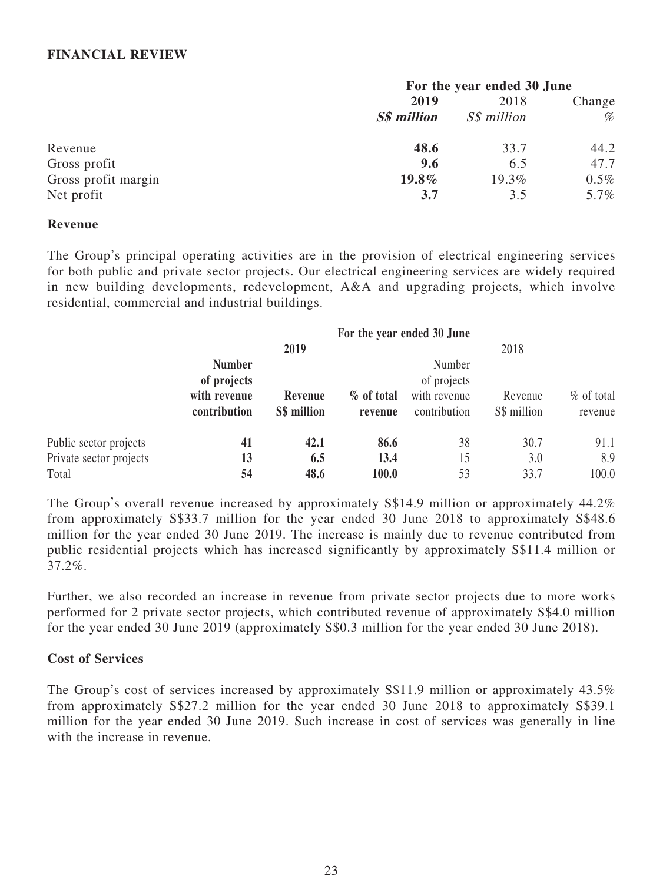## **FINANCIAL REVIEW**

|                     | For the year ended 30 June |                    |         |
|---------------------|----------------------------|--------------------|---------|
|                     | 2019                       | 2018               | Change  |
|                     | <b>S\$</b> million         | <i>S\$ million</i> | %       |
| Revenue             | 48.6                       | 33.7               | 44.2    |
| Gross profit        | 9.6                        | 6.5                | 47.7    |
| Gross profit margin | $19.8\%$                   | 19.3%              | $0.5\%$ |
| Net profit          | 3.7                        | 3.5                | 5.7%    |

### **Revenue**

The Group's principal operating activities are in the provision of electrical engineering services for both public and private sector projects. Our electrical engineering services are widely required in new building developments, redevelopment, A&A and upgrading projects, which involve residential, commercial and industrial buildings.

|                         | For the year ended 30 June |             |            |              |             |               |
|-------------------------|----------------------------|-------------|------------|--------------|-------------|---------------|
|                         |                            | 2019        |            |              | 2018        |               |
|                         | <b>Number</b>              |             |            | Number       |             |               |
|                         | of projects                |             |            | of projects  |             |               |
|                         | with revenue               | Revenue     | % of total | with revenue | Revenue     | $\%$ of total |
|                         | contribution               | S\$ million | revenue    | contribution | S\$ million | revenue       |
| Public sector projects  | 41                         | 42.1        | 86.6       | 38           | 30.7        | 91.1          |
| Private sector projects | 13                         | 6.5         | 13.4       | 15           | 3.0         | 8.9           |
| Total                   | 54                         | 48.6        | 100.0      | 53           | 33.7        | 100.0         |

The Group's overall revenue increased by approximately S\$14.9 million or approximately 44.2% from approximately S\$33.7 million for the year ended 30 June 2018 to approximately S\$48.6 million for the year ended 30 June 2019. The increase is mainly due to revenue contributed from public residential projects which has increased significantly by approximately S\$11.4 million or  $37.2\%$ .

Further, we also recorded an increase in revenue from private sector projects due to more works performed for 2 private sector projects, which contributed revenue of approximately S\$4.0 million for the year ended 30 June 2019 (approximately S\$0.3 million for the year ended 30 June 2018).

## **Cost of Services**

The Group's cost of services increased by approximately S\$11.9 million or approximately 43.5% from approximately S\$27.2 million for the year ended 30 June 2018 to approximately S\$39.1 million for the year ended 30 June 2019. Such increase in cost of services was generally in line with the increase in revenue.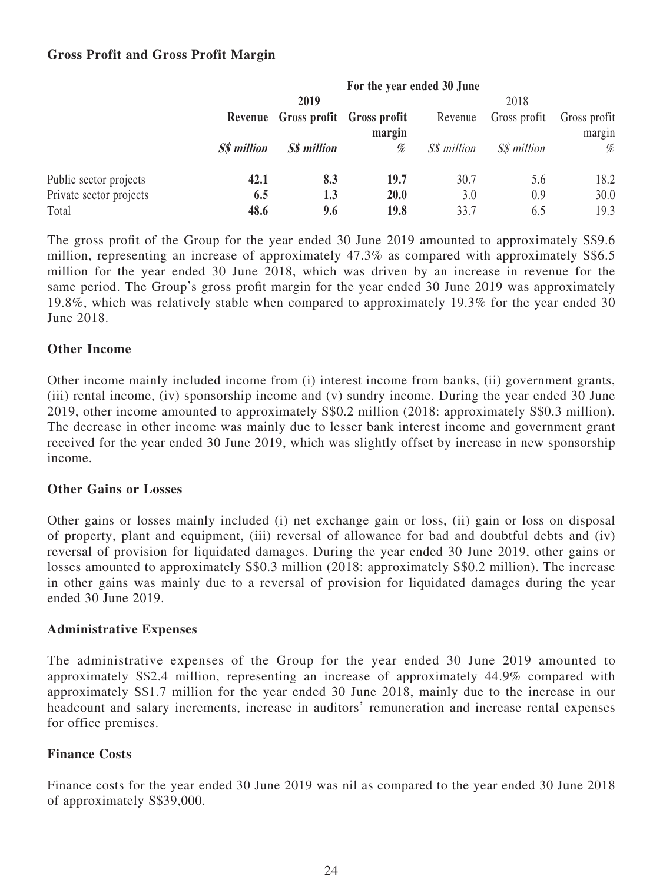# **Gross Profit and Gross Profit Margin**

|                         | For the year ended 30 June |                                   |      |             |                    |              |
|-------------------------|----------------------------|-----------------------------------|------|-------------|--------------------|--------------|
|                         |                            | 2019                              |      |             | 2018               |              |
|                         |                            | Revenue Gross profit Gross profit |      | Revenue     | Gross profit       | Gross profit |
|                         | margin                     |                                   |      |             | margin             |              |
|                         | <b>S\$</b> million         | <b>S\$ million</b>                | %    | S\$ million | <i>S\$ million</i> | %            |
| Public sector projects  | 42.1                       | 8.3                               | 19.7 | 30.7        | 5.6                | 18.2         |
| Private sector projects | 6.5                        | 1.3                               | 20.0 | 3.0         | 0.9                | 30.0         |
| Total                   | 48.6                       | 9.6                               | 19.8 | 33.7        | 6.5                | 19.3         |

The gross profit of the Group for the year ended 30 June 2019 amounted to approximately S\$9.6 million, representing an increase of approximately 47.3% as compared with approximately S\$6.5 million for the year ended 30 June 2018, which was driven by an increase in revenue for the same period. The Group's gross profit margin for the year ended 30 June 2019 was approximately 19.8%, which was relatively stable when compared to approximately 19.3% for the year ended 30 June 2018.

# **Other Income**

Other income mainly included income from (i) interest income from banks, (ii) government grants, (iii) rental income, (iv) sponsorship income and (v) sundry income. During the year ended 30 June 2019, other income amounted to approximately S\$0.2 million (2018: approximately S\$0.3 million). The decrease in other income was mainly due to lesser bank interest income and government grant received for the year ended 30 June 2019, which was slightly offset by increase in new sponsorship income.

## **Other Gains or Losses**

Other gains or losses mainly included (i) net exchange gain or loss, (ii) gain or loss on disposal of property, plant and equipment, (iii) reversal of allowance for bad and doubtful debts and (iv) reversal of provision for liquidated damages. During the year ended 30 June 2019, other gains or losses amounted to approximately S\$0.3 million (2018: approximately S\$0.2 million). The increase in other gains was mainly due to a reversal of provision for liquidated damages during the year ended 30 June 2019.

## **Administrative Expenses**

The administrative expenses of the Group for the year ended 30 June 2019 amounted to approximately S\$2.4 million, representing an increase of approximately 44.9% compared with approximately S\$1.7 million for the year ended 30 June 2018, mainly due to the increase in our headcount and salary increments, increase in auditors' remuneration and increase rental expenses for office premises.

# **Finance Costs**

Finance costs for the year ended 30 June 2019 was nil as compared to the year ended 30 June 2018 of approximately S\$39,000.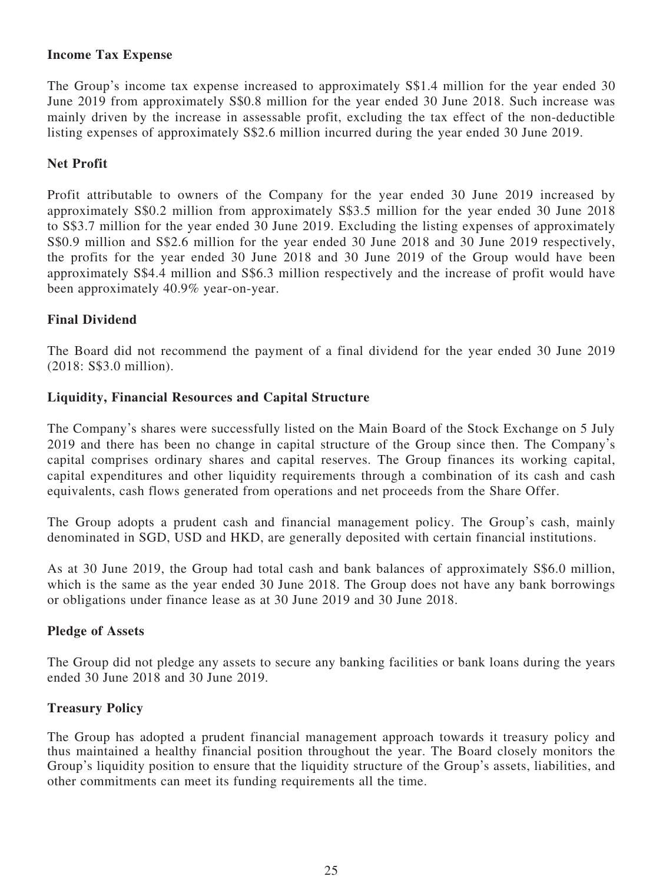# **Income Tax Expense**

The Group's income tax expense increased to approximately S\$1.4 million for the year ended 30 June 2019 from approximately S\$0.8 million for the year ended 30 June 2018. Such increase was mainly driven by the increase in assessable profit, excluding the tax effect of the non-deductible listing expenses of approximately S\$2.6 million incurred during the year ended 30 June 2019.

# **Net Profit**

Profit attributable to owners of the Company for the year ended 30 June 2019 increased by approximately S\$0.2 million from approximately S\$3.5 million for the year ended 30 June 2018 to S\$3.7 million for the year ended 30 June 2019. Excluding the listing expenses of approximately S\$0.9 million and S\$2.6 million for the year ended 30 June 2018 and 30 June 2019 respectively, the profits for the year ended 30 June 2018 and 30 June 2019 of the Group would have been approximately S\$4.4 million and S\$6.3 million respectively and the increase of profit would have been approximately 40.9% year-on-year.

# **Final Dividend**

The Board did not recommend the payment of a final dividend for the year ended 30 June 2019 (2018: S\$3.0 million).

# **Liquidity, Financial Resources and Capital Structure**

The Company's shares were successfully listed on the Main Board of the Stock Exchange on 5 July 2019 and there has been no change in capital structure of the Group since then. The Company's capital comprises ordinary shares and capital reserves. The Group finances its working capital, capital expenditures and other liquidity requirements through a combination of its cash and cash equivalents, cash flows generated from operations and net proceeds from the Share Offer.

The Group adopts a prudent cash and financial management policy. The Group's cash, mainly denominated in SGD, USD and HKD, are generally deposited with certain financial institutions.

As at 30 June 2019, the Group had total cash and bank balances of approximately S\$6.0 million, which is the same as the year ended 30 June 2018. The Group does not have any bank borrowings or obligations under finance lease as at 30 June 2019 and 30 June 2018.

# **Pledge of Assets**

The Group did not pledge any assets to secure any banking facilities or bank loans during the years ended 30 June 2018 and 30 June 2019.

# **Treasury Policy**

The Group has adopted a prudent financial management approach towards it treasury policy and thus maintained a healthy financial position throughout the year. The Board closely monitors the Group's liquidity position to ensure that the liquidity structure of the Group's assets, liabilities, and other commitments can meet its funding requirements all the time.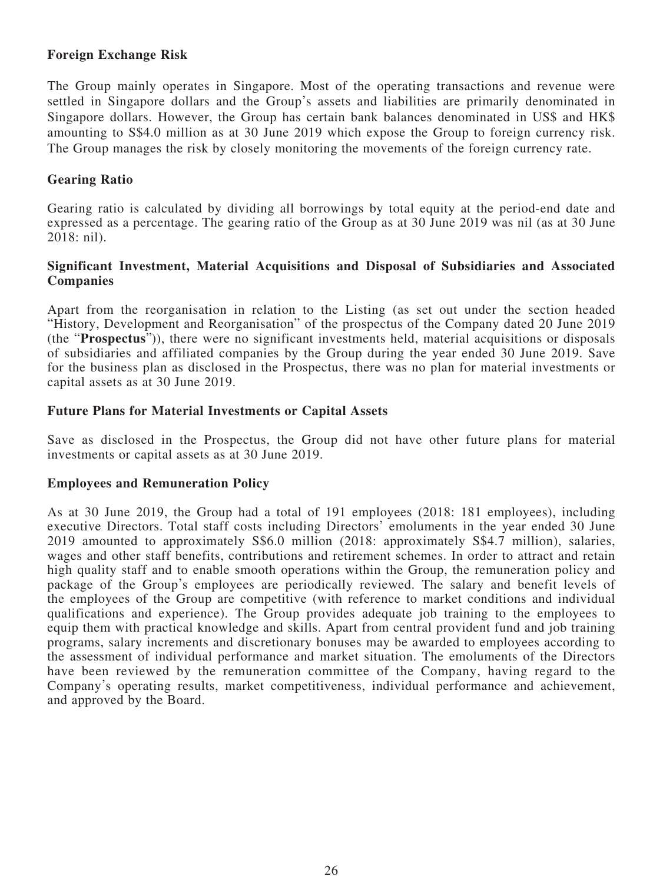## **Foreign Exchange Risk**

The Group mainly operates in Singapore. Most of the operating transactions and revenue were settled in Singapore dollars and the Group's assets and liabilities are primarily denominated in Singapore dollars. However, the Group has certain bank balances denominated in US\$ and HK\$ amounting to S\$4.0 million as at 30 June 2019 which expose the Group to foreign currency risk. The Group manages the risk by closely monitoring the movements of the foreign currency rate.

## **Gearing Ratio**

Gearing ratio is calculated by dividing all borrowings by total equity at the period-end date and expressed as a percentage. The gearing ratio of the Group as at 30 June 2019 was nil (as at 30 June 2018: nil).

## **Significant Investment, Material Acquisitions and Disposal of Subsidiaries and Associated Companies**

Apart from the reorganisation in relation to the Listing (as set out under the section headed "History, Development and Reorganisation" of the prospectus of the Company dated 20 June 2019 (the "**Prospectus**")), there were no significant investments held, material acquisitions or disposals of subsidiaries and affiliated companies by the Group during the year ended 30 June 2019. Save for the business plan as disclosed in the Prospectus, there was no plan for material investments or capital assets as at 30 June 2019.

## **Future Plans for Material Investments or Capital Assets**

Save as disclosed in the Prospectus, the Group did not have other future plans for material investments or capital assets as at 30 June 2019.

## **Employees and Remuneration Policy**

As at 30 June 2019, the Group had a total of 191 employees (2018: 181 employees), including executive Directors. Total staff costs including Directors' emoluments in the year ended 30 June 2019 amounted to approximately S\$6.0 million (2018: approximately S\$4.7 million), salaries, wages and other staff benefits, contributions and retirement schemes. In order to attract and retain high quality staff and to enable smooth operations within the Group, the remuneration policy and package of the Group's employees are periodically reviewed. The salary and benefit levels of the employees of the Group are competitive (with reference to market conditions and individual qualifications and experience). The Group provides adequate job training to the employees to equip them with practical knowledge and skills. Apart from central provident fund and job training programs, salary increments and discretionary bonuses may be awarded to employees according to the assessment of individual performance and market situation. The emoluments of the Directors have been reviewed by the remuneration committee of the Company, having regard to the Company's operating results, market competitiveness, individual performance and achievement, and approved by the Board.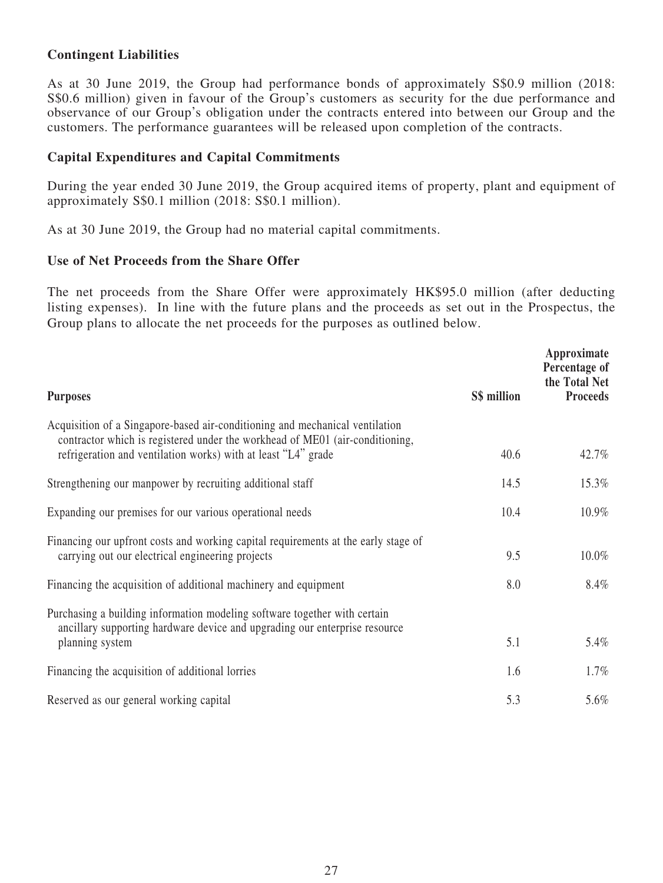# **Contingent Liabilities**

As at 30 June 2019, the Group had performance bonds of approximately S\$0.9 million (2018: S\$0.6 million) given in favour of the Group's customers as security for the due performance and observance of our Group's obligation under the contracts entered into between our Group and the customers. The performance guarantees will be released upon completion of the contracts.

## **Capital Expenditures and Capital Commitments**

During the year ended 30 June 2019, the Group acquired items of property, plant and equipment of approximately S\$0.1 million (2018: S\$0.1 million).

As at 30 June 2019, the Group had no material capital commitments.

### **Use of Net Proceeds from the Share Offer**

The net proceeds from the Share Offer were approximately HK\$95.0 million (after deducting listing expenses). In line with the future plans and the proceeds as set out in the Prospectus, the Group plans to allocate the net proceeds for the purposes as outlined below.

| <b>Purposes</b>                                                                                                                                                                                                               | S\$ million | Approximate<br>Percentage of<br>the Total Net<br><b>Proceeds</b> |
|-------------------------------------------------------------------------------------------------------------------------------------------------------------------------------------------------------------------------------|-------------|------------------------------------------------------------------|
| Acquisition of a Singapore-based air-conditioning and mechanical ventilation<br>contractor which is registered under the workhead of ME01 (air-conditioning,<br>refrigeration and ventilation works) with at least "L4" grade | 40.6        | 42.7%                                                            |
| Strengthening our manpower by recruiting additional staff                                                                                                                                                                     | 14.5        | 15.3%                                                            |
| Expanding our premises for our various operational needs                                                                                                                                                                      | 10.4        | 10.9%                                                            |
| Financing our upfront costs and working capital requirements at the early stage of<br>carrying out our electrical engineering projects                                                                                        | 9.5         | 10.0%                                                            |
| Financing the acquisition of additional machinery and equipment                                                                                                                                                               | 8.0         | $8.4\%$                                                          |
| Purchasing a building information modeling software together with certain<br>ancillary supporting hardware device and upgrading our enterprise resource<br>planning system                                                    | 5.1         | 5.4%                                                             |
| Financing the acquisition of additional lorries                                                                                                                                                                               | 1.6         | $1.7\%$                                                          |
| Reserved as our general working capital                                                                                                                                                                                       | 5.3         | 5.6%                                                             |